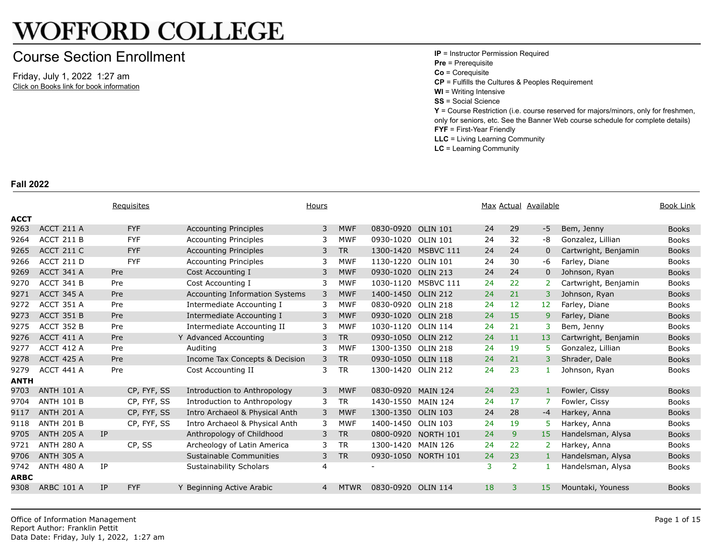## **WOFFORD COLLEGE**

## Course Section Enrollment

Friday, July 1, 2022 1:27 am Click on Books link for book information **IP** = Instructor Permission Required **Pre** = Prerequisite **Co** = Corequisite **CP** = Fulfills the Cultures & Peoples R **WI** = Writing Intensive **SS** = Social Science **Y** = Course Restriction (i.e. course re only for seniors, etc. See the Banner **FYF** = First-Year Friendly **LLC** = Living Learning Community **LC** = Learning Community

**Fall 2022**

|             |                   |           | Requisites  |                                | Hours |             |                    |                 |    |                | Max Actual Availabl |
|-------------|-------------------|-----------|-------------|--------------------------------|-------|-------------|--------------------|-----------------|----|----------------|---------------------|
| <b>ACCT</b> |                   |           |             |                                |       |             |                    |                 |    |                |                     |
| 9263        | ACCT 211 A        |           | <b>FYF</b>  | <b>Accounting Principles</b>   | 3     | <b>MWF</b>  | 0830-0920          | <b>OLIN 101</b> | 24 | 29             | $-5$                |
| 9264        | ACCT 211 B        |           | <b>FYF</b>  | <b>Accounting Principles</b>   | 3     | <b>MWF</b>  | 0930-1020          | <b>OLIN 101</b> | 24 | 32             | -8                  |
| 9265        | <b>ACCT 211 C</b> |           | <b>FYF</b>  | <b>Accounting Principles</b>   | 3     | <b>TR</b>   | 1300-1420          | MSBVC 111       | 24 | 24             | $\mathbf{0}$        |
| 9266        | ACCT 211 D        |           | <b>FYF</b>  | <b>Accounting Principles</b>   | 3     | <b>MWF</b>  | 1130-1220          | <b>OLIN 101</b> | 24 | 30             | -6                  |
| 9269        | ACCT 341 A        | Pre       |             | Cost Accounting I              | 3     | <b>MWF</b>  | 0930-1020          | <b>OLIN 213</b> | 24 | 24             | $\mathbf{0}$        |
| 9270        | ACCT 341 B        | Pre       |             | Cost Accounting I              | 3     | <b>MWF</b>  | 1030-1120          | MSBVC 111       | 24 | 22             | $\overline{2}$      |
| 9271        | ACCT 345 A        | Pre       |             | Accounting Information Systems | 3     | <b>MWF</b>  | 1400-1450 OLIN 212 |                 | 24 | 21             | 3                   |
| 9272        | ACCT 351 A        | Pre       |             | Intermediate Accounting I      | 3     | <b>MWF</b>  | 0830-0920          | <b>OLIN 218</b> | 24 | 12             | 12                  |
| 9273        | ACCT 351 B        | Pre       |             | Intermediate Accounting I      | 3     | <b>MWF</b>  | 0930-1020          | <b>OLIN 218</b> | 24 | 15             | 9                   |
| 9275        | <b>ACCT 352 B</b> | Pre       |             | Intermediate Accounting II     | 3     | <b>MWF</b>  | 1030-1120          | <b>OLIN 114</b> | 24 | 21             | 3                   |
| 9276        | ACCT 411 A        | Pre       |             | Y Advanced Accounting          | 3     | <b>TR</b>   | 0930-1050          | <b>OLIN 212</b> | 24 | 11             | 13                  |
| 9277        | ACCT 412 A        | Pre       |             | Auditing                       | 3     | <b>MWF</b>  | 1300-1350 OLIN 218 |                 | 24 | 19             | 5                   |
| 9278        | ACCT 425 A        | Pre       |             | Income Tax Concepts & Decision | 3     | <b>TR</b>   | 0930-1050 OLIN 118 |                 | 24 | 21             | $\overline{3}$      |
| 9279        | ACCT 441 A        | Pre       |             | Cost Accounting II             | 3     | <b>TR</b>   | 1300-1420          | <b>OLIN 212</b> | 24 | 23             | 1                   |
| <b>ANTH</b> |                   |           |             |                                |       |             |                    |                 |    |                |                     |
| 9703        | <b>ANTH 101 A</b> |           | CP, FYF, SS | Introduction to Anthropology   | 3     | <b>MWF</b>  | 0830-0920          | <b>MAIN 124</b> | 24 | 23             | $\mathbf{1}$        |
| 9704        | <b>ANTH 101 B</b> |           | CP, FYF, SS | Introduction to Anthropology   | 3     | <b>TR</b>   | 1430-1550          | <b>MAIN 124</b> | 24 | 17             | 7                   |
| 9117        | <b>ANTH 201 A</b> |           | CP, FYF, SS | Intro Archaeol & Physical Anth | 3     | <b>MWF</b>  | 1300-1350          | <b>OLIN 103</b> | 24 | 28             | $-4$                |
| 9118        | <b>ANTH 201 B</b> |           | CP, FYF, SS | Intro Archaeol & Physical Anth | 3     | <b>MWF</b>  | 1400-1450          | <b>OLIN 103</b> | 24 | 19             | 5.                  |
| 9705        | <b>ANTH 205 A</b> | <b>TP</b> |             | Anthropology of Childhood      | 3     | <b>TR</b>   | 0800-0920          | NORTH 101       | 24 | 9              | 15                  |
| 9721        | <b>ANTH 280 A</b> |           | CP, SS      | Archeology of Latin America    | 3     | <b>TR</b>   | 1300-1420          | <b>MAIN 126</b> | 24 | 22             | $\overline{2}$      |
| 9706        | <b>ANTH 305 A</b> |           |             | Sustainable Communities        | 3     | <b>TR</b>   | 0930-1050          | NORTH 101       | 24 | 23             | $\mathbf{1}$        |
| 9742        | <b>ANTH 480 A</b> | IP        |             | <b>Sustainability Scholars</b> | 4     |             |                    |                 | 3  | $\overline{2}$ |                     |
| <b>ARBC</b> |                   |           |             |                                |       |             |                    |                 |    |                |                     |
| 9308        | <b>ARBC 101 A</b> | IP        | <b>FYF</b>  | Y Beginning Active Arabic      | 4     | <b>MTWR</b> | 0830-0920 OLIN 114 |                 | 18 | 3              | 15 <sub>1</sub>     |
|             |                   |           |             |                                |       |             |                    |                 |    |                |                     |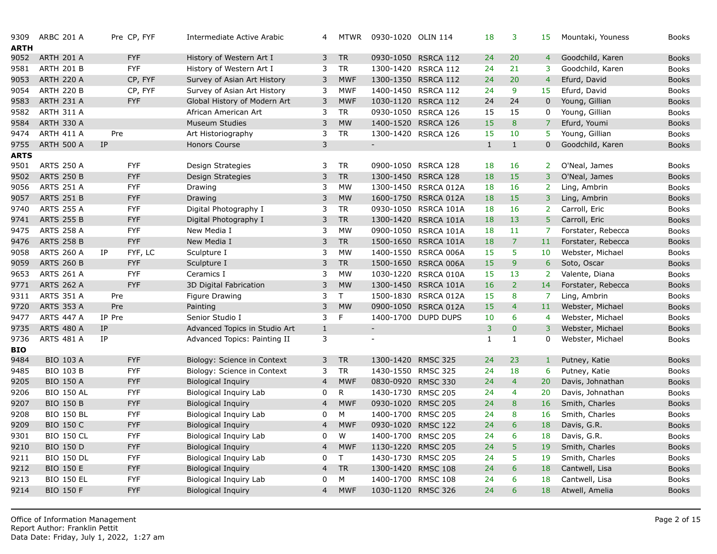| 9309<br><b>ARTH</b> | <b>ARBC 201 A</b> |           | Pre CP, FYF | Intermediate Active Arabic    | 4                        | <b>MTWR</b> | 0930-1020 OLIN 114          |                      | 18           | 3               | 15               |
|---------------------|-------------------|-----------|-------------|-------------------------------|--------------------------|-------------|-----------------------------|----------------------|--------------|-----------------|------------------|
| 9052                | <b>ARTH 201 A</b> |           | <b>FYF</b>  | History of Western Art I      | 3                        | <b>TR</b>   | 0930-1050                   | RSRCA 112            | 24           | 20              | $\overline{4}$   |
| 9581                | <b>ARTH 201 B</b> |           | <b>FYF</b>  | History of Western Art I      | 3                        | <b>TR</b>   | 1300-1420                   | RSRCA 112            | 24           | 21              | 3                |
| 9053                | <b>ARTH 220 A</b> |           | CP, FYF     | Survey of Asian Art History   | 3                        | <b>MWF</b>  |                             | 1300-1350 RSRCA 112  | 24           | 20              | $\overline{4}$   |
| 9054                | <b>ARTH 220 B</b> |           | CP, FYF     | Survey of Asian Art History   | 3                        | <b>MWF</b>  | 1400-1450                   | <b>RSRCA 112</b>     | 24           | 9               | 15               |
| 9583                | <b>ARTH 231 A</b> |           | <b>FYF</b>  | Global History of Modern Art  | 3                        | <b>MWF</b>  |                             | 1030-1120 RSRCA 112  | 24           | 24              | $\mathbf 0$      |
| 9582                | ARTH 311 A        |           |             | African American Art          | 3                        | <b>TR</b>   | 0930-1050                   | RSRCA 126            | 15           | 15              | $\mathbf 0$      |
| 9584                | <b>ARTH 330 A</b> |           |             | <b>Museum Studies</b>         | 3                        | <b>MW</b>   |                             | 1400-1520 RSRCA 126  | 15           | $\bf{8}$        | $\overline{7}$   |
| 9474                | <b>ARTH 411 A</b> | Pre       |             | Art Historiography            | 3                        | <b>TR</b>   | 1300-1420                   | RSRCA 126            | 15           | 10              | 5                |
| 9755                | <b>ARTH 500 A</b> | <b>IP</b> |             | Honors Course                 | 3                        |             | $\mathcal{L}_{\mathcal{A}}$ |                      | $\mathbf{1}$ | $\mathbf{1}$    | $\mathbf{0}$     |
| ARTS                |                   |           |             |                               |                          |             |                             |                      |              |                 |                  |
| 9501                | <b>ARTS 250 A</b> |           | <b>FYF</b>  | Design Strategies             | 3                        | <b>TR</b>   | 0900-1050                   | RSRCA 128            | 18           | 16              | 2 <sup>1</sup>   |
| 9502                | <b>ARTS 250 B</b> |           | <b>FYF</b>  | Design Strategies             | 3                        | <b>TR</b>   |                             | 1300-1450 RSRCA 128  | 18           | 15              | $\overline{3}$   |
| 9056                | <b>ARTS 251 A</b> |           | <b>FYF</b>  | Drawing                       | 3                        | <b>MW</b>   | 1300-1450                   | RSRCA 012A           | 18           | 16              | $\overline{2}$   |
| 9057                | <b>ARTS 251 B</b> |           | <b>FYF</b>  | Drawing                       | 3                        | <b>MW</b>   |                             | 1600-1750 RSRCA 012A | 18           | 15              | $\overline{3}$   |
| 9740                | <b>ARTS 255 A</b> |           | <b>FYF</b>  | Digital Photography I         | 3                        | <b>TR</b>   | 0930-1050                   | RSRCA 101A           | 18           | 16              | $\overline{2}$   |
| 9741                | <b>ARTS 255 B</b> |           | <b>FYF</b>  | Digital Photography I         | 3                        | <b>TR</b>   |                             | 1300-1420 RSRCA 101A | 18           | 13              | 5                |
| 9475                | <b>ARTS 258 A</b> |           | <b>FYF</b>  | New Media I                   | 3                        | <b>MW</b>   | 0900-1050                   | RSRCA 101A           | 18           | 11              | $\overline{7}$   |
| 9476                | <b>ARTS 258 B</b> |           | <b>FYF</b>  | New Media I                   | 3                        | <b>TR</b>   | 1500-1650                   | RSRCA 101A           | 18           | $\overline{7}$  | 11               |
| 9058                | <b>ARTS 260 A</b> | IP        | FYF, LC     | Sculpture I                   | 3                        | <b>MW</b>   | 1400-1550                   | RSRCA 006A           | 15           | 5               | 10               |
| 9059                | <b>ARTS 260 B</b> |           | <b>FYF</b>  | Sculpture I                   | 3                        | <b>TR</b>   |                             | 1500-1650 RSRCA 006A | 15           | 9               | $\boldsymbol{6}$ |
| 9653                | <b>ARTS 261 A</b> |           | <b>FYF</b>  | Ceramics I                    | 3                        | <b>MW</b>   | 1030-1220                   | RSRCA 010A           | 15           | 13              | $\overline{2}$   |
| 9771                | <b>ARTS 262 A</b> |           | <b>FYF</b>  | 3D Digital Fabrication        | 3                        | <b>MW</b>   | 1300-1450                   | RSRCA 101A           | 16           | $\overline{2}$  | 14               |
| 9311                | <b>ARTS 351 A</b> | Pre       |             | Figure Drawing                | 3                        | T.          | 1500-1830                   | RSRCA 012A           | 15           | 8               | $\overline{7}$   |
| 9720                | <b>ARTS 353 A</b> | Pre       |             | Painting                      | 3                        | <b>MW</b>   | 0900-1050                   | RSRCA 012A           | 15           | $\overline{4}$  | 11               |
| 9477                | <b>ARTS 447 A</b> | IP Pre    |             | Senior Studio I               | 3                        | F.          |                             | 1400-1700 DUPD DUPS  | 10           | 6               | $\overline{4}$   |
| 9735                | <b>ARTS 480 A</b> | IP        |             | Advanced Topics in Studio Art | $\mathbf{1}$             |             | $\equiv$                    |                      | 3            | $\pmb{0}$       | $\overline{3}$   |
| 9736                | <b>ARTS 481 A</b> | IP        |             | Advanced Topics: Painting II  | 3                        |             | $\blacksquare$              |                      | $\mathbf{1}$ | $\mathbf{1}$    | 0                |
| <b>BIO</b>          |                   |           |             |                               |                          |             |                             |                      |              |                 |                  |
| 9484                | <b>BIO 103 A</b>  |           | <b>FYF</b>  | Biology: Science in Context   | 3                        | <b>TR</b>   | 1300-1420                   | <b>RMSC 325</b>      | 24           | 23              | $\mathbf{1}$     |
| 9485                | <b>BIO 103 B</b>  |           | <b>FYF</b>  | Biology: Science in Context   | 3                        | <b>TR</b>   | 1430-1550 RMSC 325          |                      | 24           | 18              | 6                |
| 9205                | <b>BIO 150 A</b>  |           | <b>FYF</b>  | <b>Biological Inquiry</b>     | 4                        | <b>MWF</b>  | 0830-0920 RMSC 330          |                      | 24           | $\overline{4}$  | 20               |
| 9206                | <b>BIO 150 AL</b> |           | <b>FYF</b>  | <b>Biological Inquiry Lab</b> | 0                        | R           | 1430-1730 RMSC 205          |                      | 24           | $\overline{4}$  | 20               |
| 9207                | <b>BIO 150 B</b>  |           | <b>FYF</b>  | <b>Biological Inquiry</b>     | $\overline{4}$           | <b>MWF</b>  | 0930-1020 RMSC 205          |                      | 24           | 8               | 16               |
| 9208                | <b>BIO 150 BL</b> |           | <b>FYF</b>  | <b>Biological Inquiry Lab</b> | 0                        | М           | 1400-1700 RMSC 205          |                      | 24           | 8               | 16               |
| 9209                | <b>BIO 150 C</b>  |           | <b>FYF</b>  | <b>Biological Inquiry</b>     | $\overline{\mathcal{A}}$ | <b>MWF</b>  | 0930-1020                   | <b>RMSC 122</b>      | 24           | 6               | 18               |
| 9301                | <b>BIO 150 CL</b> |           | <b>FYF</b>  | Biological Inquiry Lab        | 0                        | W           | 1400-1700 RMSC 205          |                      | 24           | $6\overline{6}$ | 18               |
| 9210                | <b>BIO 150 D</b>  |           | <b>FYF</b>  | <b>Biological Inquiry</b>     | 4                        | <b>MWF</b>  | 1130-1220                   | <b>RMSC 205</b>      | 24           | 5               | 19               |
| 9211                | <b>BIO 150 DL</b> |           | <b>FYF</b>  | <b>Biological Inquiry Lab</b> | 0                        | T.          | 1430-1730 RMSC 205          |                      | 24           | 5               | 19               |
| 9212                | <b>BIO 150 E</b>  |           | <b>FYF</b>  | <b>Biological Inquiry</b>     | 4                        | <b>TR</b>   | 1300-1420                   | <b>RMSC 108</b>      | 24           | 6               | 18               |
| 9213                | <b>BIO 150 EL</b> |           | <b>FYF</b>  | Biological Inquiry Lab        | 0                        | M           | 1400-1700                   | <b>RMSC 108</b>      | 24           | 6               | 18               |
| 9214                | <b>BIO 150 F</b>  |           | <b>FYF</b>  | <b>Biological Inquiry</b>     | 4                        | <b>MWF</b>  | 1030-1120 RMSC 326          |                      | 24           | 6               | 18               |
|                     |                   |           |             |                               |                          |             |                             |                      |              |                 |                  |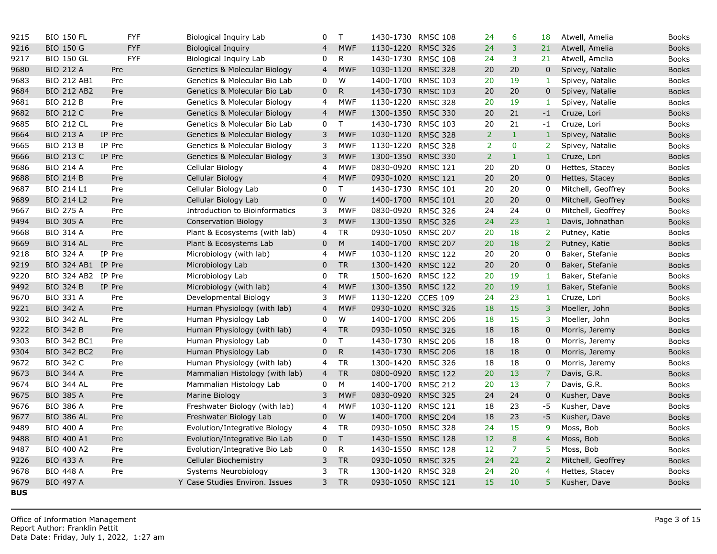| 9215       | <b>BIO 150 FL</b>  |            | <b>FYF</b> | Biological Inquiry Lab         | 0              | $\mathsf{T}$ | 1430-1730 RMSC 108 |                 | 24             | 6                | 18             |
|------------|--------------------|------------|------------|--------------------------------|----------------|--------------|--------------------|-----------------|----------------|------------------|----------------|
| 9216       | <b>BIO 150 G</b>   |            | <b>FYF</b> | <b>Biological Inquiry</b>      | $\overline{4}$ | <b>MWF</b>   | 1130-1220 RMSC 326 |                 | 24             | 3                | 21             |
| 9217       | <b>BIO 150 GL</b>  |            | <b>FYF</b> | Biological Inquiry Lab         | 0              | $\mathsf{R}$ | 1430-1730 RMSC 108 |                 | 24             | 3                | 21             |
| 9680       | <b>BIO 212 A</b>   | Pre        |            | Genetics & Molecular Biology   | $\overline{4}$ | <b>MWF</b>   | 1030-1120 RMSC 328 |                 | 20             | 20               | $\mathbf 0$    |
| 9683       | <b>BIO 212 AB1</b> | Pre        |            | Genetics & Molecular Bio Lab   | 0              | W            | 1400-1700 RMSC 103 |                 | 20             | 19               | $\mathbf{1}$   |
| 9684       | <b>BIO 212 AB2</b> | Pre        |            | Genetics & Molecular Bio Lab   | $\mathbf 0$    | $\mathsf{R}$ | 1430-1730 RMSC 103 |                 | 20             | 20               | $\overline{0}$ |
| 9681       | <b>BIO 212 B</b>   | Pre        |            | Genetics & Molecular Biology   | 4              | <b>MWF</b>   | 1130-1220 RMSC 328 |                 | 20             | 19               | $\mathbf{1}$   |
| 9682       | <b>BIO 212 C</b>   | Pre        |            | Genetics & Molecular Biology   | 4              | <b>MWF</b>   | 1300-1350 RMSC 330 |                 | 20             | 21               | $-1$           |
| 9685       | <b>BIO 212 CL</b>  | Pre        |            | Genetics & Molecular Bio Lab   | 0              | T.           | 1430-1730 RMSC 103 |                 | 20             | 21               | $-1$           |
| 9664       | <b>BIO 213 A</b>   | IP Pre     |            | Genetics & Molecular Biology   | 3              | <b>MWF</b>   | 1030-1120 RMSC 328 |                 | $\overline{2}$ | $\mathbf 1$      | $\mathbf{1}$   |
| 9665       | <b>BIO 213 B</b>   | IP Pre     |            | Genetics & Molecular Biology   | 3              | <b>MWF</b>   | 1130-1220          | <b>RMSC 328</b> | $\overline{2}$ | $\bf{0}$         | $\overline{2}$ |
| 9666       | <b>BIO 213 C</b>   | IP Pre     |            | Genetics & Molecular Biology   | 3              | <b>MWF</b>   | 1300-1350 RMSC 330 |                 | $\overline{2}$ | $\mathbf{1}$     | $\mathbf{1}$   |
| 9686       | <b>BIO 214 A</b>   | Pre        |            | Cellular Biology               | 4              | <b>MWF</b>   | 0830-0920          | <b>RMSC 121</b> | 20             | 20               | $\mathbf 0$    |
| 9688       | <b>BIO 214 B</b>   | Pre        |            | Cellular Biology               | $\overline{4}$ | <b>MWF</b>   | 0930-1020 RMSC 121 |                 | 20             | 20               | $\mathbf 0$    |
| 9687       | BIO 214 L1         | Pre        |            | Cellular Biology Lab           | 0              | T            | 1430-1730 RMSC 101 |                 | 20             | 20               | 0              |
| 9689       | <b>BIO 214 L2</b>  | Pre        |            | Cellular Biology Lab           | $\mathbf 0$    | W            | 1400-1700 RMSC 101 |                 | 20             | 20               | $\overline{0}$ |
| 9667       | <b>BIO 275 A</b>   | Pre        |            | Introduction to Bioinformatics | 3              | <b>MWF</b>   | 0830-0920 RMSC 326 |                 | 24             | 24               | $\mathbf 0$    |
| 9494       | <b>BIO 305 A</b>   | Pre        |            | <b>Conservation Biology</b>    | 3              | <b>MWF</b>   | 1300-1350 RMSC 326 |                 | 24             | 23               | $\mathbf{1}$   |
| 9668       | <b>BIO 314 A</b>   | Pre        |            | Plant & Ecosystems (with lab)  | 4              | <b>TR</b>    | 0930-1050 RMSC 207 |                 | 20             | 18               | $\overline{2}$ |
| 9669       | <b>BIO 314 AL</b>  | Pre        |            | Plant & Ecosystems Lab         | $\mathbf 0$    | $M_{\odot}$  | 1400-1700          | <b>RMSC 207</b> | 20             | 18               | 2 <sup>1</sup> |
| 9218       | <b>BIO 324 A</b>   | IP Pre     |            | Microbiology (with lab)        | 4              | <b>MWF</b>   | 1030-1120 RMSC 122 |                 | 20             | 20               | $\mathbf 0$    |
| 9219       | BIO 324 AB1 IP Pre |            |            | Microbiology Lab               | $\mathbf 0$    | <b>TR</b>    | 1300-1420          | <b>RMSC 122</b> | 20             | 20               | $\mathbf 0$    |
| 9220       | BIO 324 AB2 IP Pre |            |            | Microbiology Lab               | 0              | <b>TR</b>    | 1500-1620 RMSC 122 |                 | 20             | 19               | $\mathbf{1}$   |
| 9492       | <b>BIO 324 B</b>   | IP Pre     |            | Microbiology (with lab)        | $\overline{4}$ | <b>MWF</b>   | 1300-1350 RMSC 122 |                 | 20             | 19               | $1\,$          |
| 9670       | <b>BIO 331 A</b>   | Pre        |            | Developmental Biology          | 3              | <b>MWF</b>   | 1130-1220 CCES 109 |                 | 24             | 23               | $\mathbf{1}$   |
| 9221       | <b>BIO 342 A</b>   | Pre        |            | Human Physiology (with lab)    | 4              | <b>MWF</b>   | 0930-1020          | <b>RMSC 326</b> | 18             | 15               | $\overline{3}$ |
| 9302       | <b>BIO 342 AL</b>  | Pre        |            | Human Physiology Lab           | 0              | W            | 1400-1700 RMSC 206 |                 | 18             | 15               | 3              |
| 9222       | <b>BIO 342 B</b>   | Pre        |            | Human Physiology (with lab)    | $\overline{4}$ | <b>TR</b>    | 0930-1050          | <b>RMSC 326</b> | 18             | 18               | $\overline{0}$ |
| 9303       | <b>BIO 342 BC1</b> | Pre        |            | Human Physiology Lab           | 0              | $\top$       | 1430-1730 RMSC 206 |                 | 18             | 18               | $\mathbf 0$    |
| 9304       | <b>BIO 342 BC2</b> | Pre        |            | Human Physiology Lab           | $\mathbf 0$    | ${\sf R}$    | 1430-1730 RMSC 206 |                 | 18             | 18               | $\mathbf 0$    |
| 9672       | <b>BIO 342 C</b>   | Pre        |            | Human Physiology (with lab)    | 4              | <b>TR</b>    | 1300-1420 RMSC 326 |                 | 18             | 18               | 0              |
| 9673       | <b>BIO 344 A</b>   | Pre        |            | Mammalian Histology (with lab) | $\overline{4}$ | <b>TR</b>    | 0800-0920 RMSC 122 |                 | 20             | 13               | $\overline{7}$ |
| 9674       | <b>BIO 344 AL</b>  | Pre        |            | Mammalian Histology Lab        | 0              | M            | 1400-1700 RMSC 212 |                 | 20             | 13               | $\overline{7}$ |
| 9675       | <b>BIO 385 A</b>   | Pre        |            | Marine Biology                 | 3              | <b>MWF</b>   | 0830-0920 RMSC 325 |                 | 24             | 24               | $\mathbf 0$    |
| 9676       | <b>BIO 386 A</b>   | Pre        |            | Freshwater Biology (with lab)  | 4              | <b>MWF</b>   | 1030-1120 RMSC 121 |                 | 18             | 23               | $-5$           |
| 9677       | <b>BIO 386 AL</b>  | Pre        |            | Freshwater Biology Lab         | $\mathbf 0$    | W            | 1400-1700          | <b>RMSC 204</b> | 18             | 23               | $-5$           |
| 9489       | <b>BIO 400 A</b>   | Pre        |            | Evolution/Integrative Biology  | 4              | <b>TR</b>    | 0930-1050          | <b>RMSC 328</b> | 24             | 15               | 9              |
| 9488       | <b>BIO 400 A1</b>  | <b>Pre</b> |            | Evolution/Integrative Bio Lab  | $\mathbf 0$    | $\top$       | 1430-1550 RMSC 128 |                 | 12             | $\boldsymbol{8}$ | $\overline{4}$ |
| 9487       | <b>BIO 400 A2</b>  | Pre        |            | Evolution/Integrative Bio Lab  | 0              | ${\sf R}$    | 1430-1550          | <b>RMSC 128</b> | 12             | $\overline{7}$   | 5 <sub>1</sub> |
| 9226       | <b>BIO 433 A</b>   | Pre        |            | Cellular Biochemistry          | $\mathsf{3}$   | <b>TR</b>    | 0930-1050          | <b>RMSC 325</b> | 24             | 22               | $\overline{2}$ |
| 9678       | <b>BIO 448 A</b>   | Pre        |            | Systems Neurobiology           | 3              | <b>TR</b>    | 1300-1420          | <b>RMSC 328</b> | 24             | 20               | $\overline{4}$ |
| 9679       | <b>BIO 497 A</b>   |            |            | Y Case Studies Environ. Issues | 3              | <b>TR</b>    | 0930-1050 RMSC 121 |                 | 15             | 10               | 5 <sup>1</sup> |
| <b>BUS</b> |                    |            |            |                                |                |              |                    |                 |                |                  |                |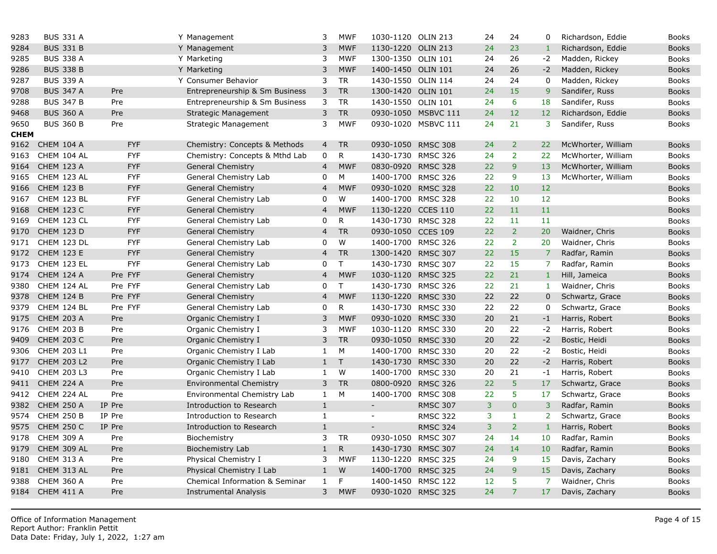| 9283        | <b>BUS 331 A</b>  |            | Y Management                   | 3              | <b>MWF</b>   | 1030-1120 OLIN 213       |                     | 24 | 24             | 0                 |
|-------------|-------------------|------------|--------------------------------|----------------|--------------|--------------------------|---------------------|----|----------------|-------------------|
| 9284        | <b>BUS 331 B</b>  |            | Y Management                   | 3              | <b>MWF</b>   | 1130-1220                | <b>OLIN 213</b>     | 24 | 23             | $\mathbf{1}$      |
| 9285        | <b>BUS 338 A</b>  |            | Y Marketing                    | 3              | <b>MWF</b>   | 1300-1350 OLIN 101       |                     | 24 | 26             | $-2$              |
| 9286        | <b>BUS 338 B</b>  |            | Y Marketing                    | 3              | <b>MWF</b>   | 1400-1450 OLIN 101       |                     | 24 | 26             | $-2$              |
| 9287        | <b>BUS 339 A</b>  |            | Y Consumer Behavior            | 3              | <b>TR</b>    | 1430-1550 OLIN 114       |                     | 24 | 24             | $\mathbf 0$       |
| 9708        | <b>BUS 347 A</b>  | Pre        | Entrepreneurship & Sm Business | 3              | <b>TR</b>    | 1300-1420 OLIN 101       |                     | 24 | 15             | 9 <sup>°</sup>    |
| 9288        | <b>BUS 347 B</b>  | Pre        | Entrepreneurship & Sm Business | 3              | <b>TR</b>    | 1430-1550 OLIN 101       |                     | 24 | 6              | 18                |
| 9468        | <b>BUS 360 A</b>  | Pre        | <b>Strategic Management</b>    | 3              | <b>TR</b>    |                          | 0930-1050 MSBVC 111 | 24 | 12             | 12 <sub>1</sub>   |
| 9650        | <b>BUS 360 B</b>  | Pre        | Strategic Management           | 3              | <b>MWF</b>   |                          | 0930-1020 MSBVC 111 | 24 | 21             | $\overline{3}$    |
| <b>CHEM</b> |                   |            |                                |                |              |                          |                     |    |                |                   |
| 9162        | <b>CHEM 104 A</b> | <b>FYF</b> | Chemistry: Concepts & Methods  | $\overline{4}$ | <b>TR</b>    | 0930-1050 RMSC 308       |                     | 24 | $\overline{2}$ | 22                |
| 9163        | CHEM 104 AL       | <b>FYF</b> | Chemistry: Concepts & Mthd Lab | 0              | R            | 1430-1730 RMSC 326       |                     | 24 | $\overline{2}$ | 22                |
| 9164        | <b>CHEM 123 A</b> | <b>FYF</b> | <b>General Chemistry</b>       | $\overline{4}$ | <b>MWF</b>   | 0830-0920 RMSC 328       |                     | 22 | 9 <sup>°</sup> | 13                |
| 9165        | CHEM 123 AL       | <b>FYF</b> | General Chemistry Lab          | 0              | М            | 1400-1700 RMSC 326       |                     | 22 | 9              | 13                |
| 9166        | CHEM 123 B        | <b>FYF</b> | <b>General Chemistry</b>       | $\overline{4}$ | <b>MWF</b>   | 0930-1020 RMSC 328       |                     | 22 | 10             | 12                |
| 9167        | CHEM 123 BL       | <b>FYF</b> | General Chemistry Lab          | 0              | W            | 1400-1700 RMSC 328       |                     | 22 | 10             | $12 \overline{ }$ |
| 9168        | <b>CHEM 123 C</b> | <b>FYF</b> | <b>General Chemistry</b>       | 4              | <b>MWF</b>   | 1130-1220 CCES 110       |                     | 22 | 11             | 11                |
| 9169        | CHEM 123 CL       | <b>FYF</b> | General Chemistry Lab          | 0              | $\mathsf{R}$ | 1430-1730 RMSC 328       |                     | 22 | 11             | 11                |
| 9170        | <b>CHEM 123 D</b> | <b>FYF</b> | <b>General Chemistry</b>       | $\overline{4}$ | <b>TR</b>    | 0930-1050 CCES 109       |                     | 22 | $\overline{2}$ | 20                |
| 9171        | CHEM 123 DL       | <b>FYF</b> | General Chemistry Lab          | 0              | W            | 1400-1700 RMSC 326       |                     | 22 | $\overline{2}$ | 20                |
| 9172        | <b>CHEM 123 E</b> | <b>FYF</b> | <b>General Chemistry</b>       | $\overline{4}$ | <b>TR</b>    | 1300-1420 RMSC 307       |                     | 22 | 15             | $\overline{7}$    |
| 9173        | CHEM 123 EL       | <b>FYF</b> | General Chemistry Lab          | 0              | T.           | 1430-1730 RMSC 307       |                     | 22 | 15             | $\overline{7}$    |
| 9174        | CHEM 124 A        | Pre FYF    | <b>General Chemistry</b>       | $\overline{4}$ | <b>MWF</b>   | 1030-1120 RMSC 325       |                     | 22 | 21             | $\mathbf{1}$      |
| 9380        | CHEM 124 AL       | Pre FYF    | General Chemistry Lab          | 0              | T            | 1430-1730 RMSC 326       |                     | 22 | 21             | $\mathbf{1}$      |
| 9378        | CHEM 124 B        | Pre FYF    | <b>General Chemistry</b>       | $\overline{4}$ | <b>MWF</b>   | 1130-1220 RMSC 330       |                     | 22 | 22             | $\mathbf 0$       |
| 9379        | CHEM 124 BL       | Pre FYF    | General Chemistry Lab          | $\mathbf 0$    | $\mathsf{R}$ | 1430-1730 RMSC 330       |                     | 22 | 22             | 0                 |
| 9175        | <b>CHEM 203 A</b> | Pre        | Organic Chemistry I            | 3              | <b>MWF</b>   | 0930-1020 RMSC 330       |                     | 20 | 21             | $-1$              |
| 9176        | <b>CHEM 203 B</b> | Pre        | Organic Chemistry I            | 3              | <b>MWF</b>   | 1030-1120 RMSC 330       |                     | 20 | 22             | $-2$              |
| 9409        | <b>CHEM 203 C</b> | Pre        | Organic Chemistry I            | 3              | <b>TR</b>    | 0930-1050 RMSC 330       |                     | 20 | 22             | $-2$              |
| 9306        | CHEM 203 L1       | Pre        | Organic Chemistry I Lab        | $\mathbf{1}$   | M            | 1400-1700 RMSC 330       |                     | 20 | 22             | $-2$              |
| 9177        | CHEM 203 L2       | Pre        | Organic Chemistry I Lab        | $\mathbf{1}$   | $\mathsf{T}$ | 1430-1730 RMSC 330       |                     | 20 | 22             | $-2$              |
| 9410        | CHEM 203 L3       | Pre        | Organic Chemistry I Lab        | $\mathbf{1}$   | W            | 1400-1700 RMSC 330       |                     | 20 | 21             | $-1$              |
| 9411        | <b>CHEM 224 A</b> | Pre        | <b>Environmental Chemistry</b> | 3              | <b>TR</b>    | 0800-0920 RMSC 326       |                     | 22 | 5              | 17                |
| 9412        | CHEM 224 AL       | Pre        | Environmental Chemistry Lab    | $\mathbf{1}$   | M            | 1400-1700 RMSC 308       |                     | 22 | 5              | 17                |
| 9382        | <b>CHEM 250 A</b> | IP Pre     | Introduction to Research       | $\mathbf 1$    |              | $\frac{1}{2}$            | <b>RMSC 307</b>     | 3  | $\overline{0}$ | $\overline{3}$    |
| 9574        | <b>CHEM 250 B</b> | IP Pre     | Introduction to Research       | $\mathbf{1}$   |              | $\overline{\phantom{a}}$ | <b>RMSC 322</b>     | 3  | $\mathbf{1}$   | $\overline{2}$    |
| 9575        | <b>CHEM 250 C</b> | IP Pre     | Introduction to Research       | $\mathbf{1}$   |              |                          | <b>RMSC 324</b>     | 3  | $\overline{2}$ | $1\,$             |
| 9178        | <b>CHEM 309 A</b> | Pre        | Biochemistry                   | 3              | <b>TR</b>    | 0930-1050 RMSC 307       |                     | 24 | 14             | 10 <sup>°</sup>   |
| 9179        | CHEM 309 AL       | Pre        | Biochemistry Lab               | $\mathbf{1}$   | R            | 1430-1730 RMSC 307       |                     | 24 | 14             | 10                |
| 9180        | <b>CHEM 313 A</b> | Pre        | Physical Chemistry I           | 3              | <b>MWF</b>   | 1130-1220 RMSC 325       |                     | 24 | 9              | 15                |
| 9181        | CHEM 313 AL       | Pre        | Physical Chemistry I Lab       | $\mathbf{1}$   | W            | 1400-1700                | <b>RMSC 325</b>     | 24 | $\overline{9}$ | 15                |
| 9388        | <b>CHEM 360 A</b> | Pre        | Chemical Information & Seminar | $\mathbf{1}$   | F            | 1400-1450                | <b>RMSC 122</b>     | 12 | 5              | $\overline{7}$    |
| 9184        | <b>CHEM 411 A</b> | Pre        | <b>Instrumental Analysis</b>   | 3              | <b>MWF</b>   | 0930-1020 RMSC 325       |                     | 24 | $\overline{7}$ | 17                |
|             |                   |            |                                |                |              |                          |                     |    |                |                   |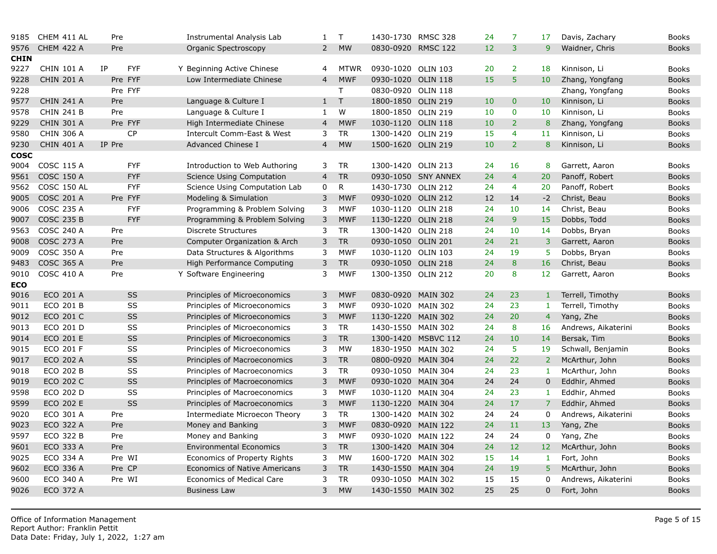| 9185        | CHEM 411 AL        | Pre              | Instrumental Analysis Lab            | 1              | $\mathsf{T}$ | 1430-1730 RMSC 328 |                     | 24 | $\overline{7}$ | 17              |
|-------------|--------------------|------------------|--------------------------------------|----------------|--------------|--------------------|---------------------|----|----------------|-----------------|
| 9576        | <b>CHEM 422 A</b>  | Pre              | Organic Spectroscopy                 | $\overline{2}$ | <b>MW</b>    | 0830-0920 RMSC 122 |                     | 12 | 3              | 9 <sup>°</sup>  |
| <b>CHIN</b> |                    |                  |                                      |                |              |                    |                     |    |                |                 |
| 9227        | <b>CHIN 101 A</b>  | <b>FYF</b><br>IP | Y Beginning Active Chinese           | 4              | <b>MTWR</b>  | 0930-1020 OLIN 103 |                     | 20 | $\overline{2}$ | 18              |
| 9228        | <b>CHIN 201 A</b>  | Pre FYF          | Low Intermediate Chinese             | $\overline{4}$ | <b>MWF</b>   | 0930-1020 OLIN 118 |                     | 15 | 5              | 10 <sup>°</sup> |
| 9228        |                    | Pre FYF          |                                      |                | T            | 0830-0920 OLIN 118 |                     |    |                |                 |
| 9577        | <b>CHIN 241 A</b>  | Pre              | Language & Culture I                 | $\mathbf{1}$   | $\top$       | 1800-1850 OLIN 219 |                     | 10 | $\mathbf{0}$   | 10              |
| 9578        | <b>CHIN 241 B</b>  | Pre              | Language & Culture I                 | 1              | W            | 1800-1850 OLIN 219 |                     | 10 | $\mathbf 0$    | 10              |
| 9229        | <b>CHIN 301 A</b>  | Pre FYF          | High Intermediate Chinese            | 4              | <b>MWF</b>   | 1030-1120 OLIN 118 |                     | 10 | $\overline{2}$ | 8               |
| 9580        | <b>CHIN 306 A</b>  | <b>CP</b>        | Intercult Comm-East & West           | 3              | <b>TR</b>    | 1300-1420 OLIN 219 |                     | 15 | $\overline{4}$ | 11              |
| 9230        | <b>CHIN 401 A</b>  | IP Pre           | Advanced Chinese I                   | $\overline{4}$ | <b>MW</b>    | 1500-1620 OLIN 219 |                     | 10 | $\overline{2}$ | 8               |
| <b>COSC</b> |                    |                  |                                      |                |              |                    |                     |    |                |                 |
| 9004        | <b>COSC 115 A</b>  | <b>FYF</b>       | Introduction to Web Authoring        | 3              | <b>TR</b>    | 1300-1420 OLIN 213 |                     | 24 | 16             | 8               |
| 9561        | <b>COSC 150 A</b>  | <b>FYF</b>       | <b>Science Using Computation</b>     | $\overline{4}$ | <b>TR</b>    |                    | 0930-1050 SNY ANNEX | 24 | $\overline{4}$ | 20              |
| 9562        | <b>COSC 150 AL</b> | <b>FYF</b>       | Science Using Computation Lab        | 0              | R            | 1430-1730 OLIN 212 |                     | 24 | 4              | 20              |
| 9005        | <b>COSC 201 A</b>  | Pre FYF          | Modeling & Simulation                | 3              | <b>MWF</b>   | 0930-1020 OLIN 212 |                     | 12 | 14             | $-2$            |
| 9006        | COSC 235 A         | <b>FYF</b>       | Programming & Problem Solving        | 3              | <b>MWF</b>   | 1030-1120 OLIN 218 |                     | 24 | 10             | 14              |
| 9007        | <b>COSC 235 B</b>  | <b>FYF</b>       | Programming & Problem Solving        | 3              | <b>MWF</b>   | 1130-1220 OLIN 218 |                     | 24 | 9              | 15              |
| 9563        | <b>COSC 240 A</b>  | Pre              | <b>Discrete Structures</b>           | 3              | <b>TR</b>    | 1300-1420 OLIN 218 |                     | 24 | 10             | 14              |
| 9008        | <b>COSC 273 A</b>  | Pre              | Computer Organization & Arch         | 3              | <b>TR</b>    | 0930-1050 OLIN 201 |                     | 24 | 21             | 3               |
| 9009        | <b>COSC 350 A</b>  | Pre              | Data Structures & Algorithms         | 3              | <b>MWF</b>   | 1030-1120 OLIN 103 |                     | 24 | 19             | 5               |
| 9483        | <b>COSC 365 A</b>  | Pre              | High Performance Computing           | 3              | <b>TR</b>    | 0930-1050 OLIN 218 |                     | 24 | 8              | 16              |
| 9010        | <b>COSC 410 A</b>  | Pre              | Y Software Engineering               | 3              | <b>MWF</b>   | 1300-1350 OLIN 212 |                     | 20 | 8              | 12 <sub>1</sub> |
| <b>ECO</b>  |                    |                  |                                      |                |              |                    |                     |    |                |                 |
| 9016        | <b>ECO 201 A</b>   | SS               | Principles of Microeconomics         | 3              | <b>MWF</b>   | 0830-0920 MAIN 302 |                     | 24 | 23             | $\mathbf{1}$    |
| 9011        | <b>ECO 201 B</b>   | SS               | Principles of Microeconomics         | 3              | <b>MWF</b>   | 0930-1020 MAIN 302 |                     | 24 | 23             | $\mathbf{1}$    |
| 9012        | ECO 201 C          | <b>SS</b>        | Principles of Microeconomics         | 3              | <b>MWF</b>   | 1130-1220 MAIN 302 |                     | 24 | 20             | $\overline{4}$  |
| 9013        | ECO 201 D          | SS               | Principles of Microeconomics         | 3              | <b>TR</b>    | 1430-1550 MAIN 302 |                     | 24 | 8              | 16              |
| 9014        | <b>ECO 201 E</b>   | SS               | Principles of Microeconomics         | 3              | <b>TR</b>    |                    | 1300-1420 MSBVC 112 | 24 | 10             | 14              |
| 9015        | ECO 201 F          | SS               | Principles of Microeconomics         | 3              | <b>MW</b>    | 1830-1950 MAIN 302 |                     | 24 | 5              | 19              |
| 9017        | <b>ECO 202 A</b>   | <b>SS</b>        | Principles of Macroeconomics         | 3              | <b>TR</b>    | 0800-0920 MAIN 304 |                     | 24 | 22             | $\overline{2}$  |
| 9018        | <b>ECO 202 B</b>   | SS               | Principles of Macroeconomics         | 3              | <b>TR</b>    | 0930-1050 MAIN 304 |                     | 24 | 23             | $\mathbf{1}$    |
| 9019        | ECO 202 C          | <b>SS</b>        | Principles of Macroeconomics         | 3              | <b>MWF</b>   | 0930-1020 MAIN 304 |                     | 24 | 24             | $\mathbf 0$     |
| 9598        | ECO 202 D          | SS               | Principles of Macroeconomics         | 3              | <b>MWF</b>   | 1030-1120 MAIN 304 |                     | 24 | 23             | $\mathbf{1}$    |
| 9599        | <b>ECO 202 E</b>   | SS               | Principles of Macroeconomics         | 3              | <b>MWF</b>   | 1130-1220 MAIN 304 |                     | 24 | 17             | $\overline{7}$  |
| 9020        | ECO 301 A          | Pre              | Intermediate Microecon Theory        | 3              | <b>TR</b>    | 1300-1420 MAIN 302 |                     | 24 | 24             | 0               |
| 9023        | ECO 322 A          | Pre              | Money and Banking                    | 3              | <b>MWF</b>   | 0830-0920 MAIN 122 |                     | 24 | 11             | 13              |
| 9597        | <b>ECO 322 B</b>   | Pre              | Money and Banking                    | 3              | <b>MWF</b>   | 0930-1020 MAIN 122 |                     | 24 | 24             | $\mathbf 0$     |
| 9601        | ECO 333 A          | Pre              | <b>Environmental Economics</b>       | 3              | <b>TR</b>    | 1300-1420 MAIN 304 |                     | 24 | 12             | 12 <sub>2</sub> |
| 9025        | ECO 334 A          | Pre WI           | Economics of Property Rights         | 3              | <b>MW</b>    | 1600-1720 MAIN 302 |                     | 15 | 14             | $\mathbf{1}$    |
| 9602        | ECO 336 A          | Pre CP           | <b>Economics of Native Americans</b> | 3              | <b>TR</b>    | 1430-1550 MAIN 304 |                     | 24 | 19             | 5 <sup>5</sup>  |
| 9600        | ECO 340 A          | Pre WI           | <b>Economics of Medical Care</b>     | 3              | <b>TR</b>    | 0930-1050          | <b>MAIN 302</b>     | 15 | 15             | $\mathbf 0$     |
| 9026        | <b>ECO 372 A</b>   |                  | <b>Business Law</b>                  | 3              | <b>MW</b>    | 1430-1550 MAIN 302 |                     | 25 | 25             | $\overline{0}$  |
|             |                    |                  |                                      |                |              |                    |                     |    |                |                 |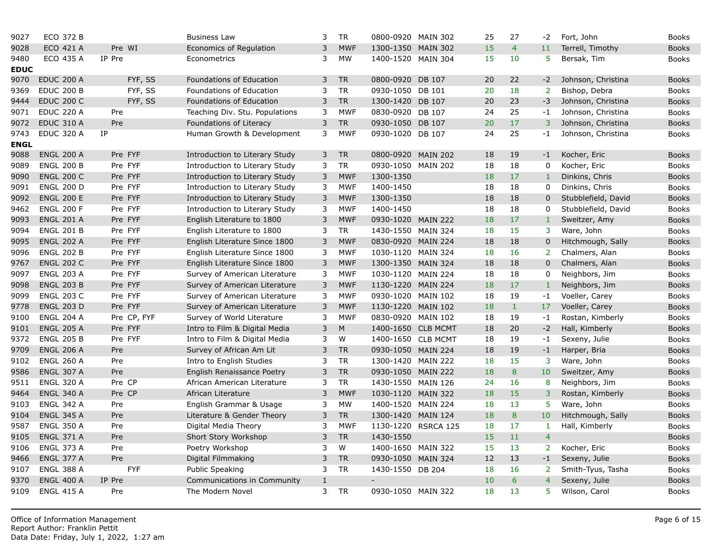| 9027        | <b>ECO 372 B</b>  |             | <b>Business Law</b>            | 3     | <b>TR</b>  | 0800-0920 MAIN 302          |                     | 25 | 27             | $-2$           |
|-------------|-------------------|-------------|--------------------------------|-------|------------|-----------------------------|---------------------|----|----------------|----------------|
| 9028        | ECO 421 A         | Pre WI      | Economics of Regulation        | 3     | <b>MWF</b> | 1300-1350                   | <b>MAIN 302</b>     | 15 | $\overline{4}$ | 11             |
| 9480        | ECO 435 A         | IP Pre      | Econometrics                   | 3     | MW         | 1400-1520 MAIN 304          |                     | 15 | 10             | 5              |
| <b>EDUC</b> |                   |             |                                |       |            |                             |                     |    |                |                |
| 9070        | <b>EDUC 200 A</b> | FYF, SS     | Foundations of Education       | 3     | <b>TR</b>  | 0800-0920                   | DB 107              | 20 | 22             | $-2$           |
| 9369        | <b>EDUC 200 B</b> | FYF, SS     | Foundations of Education       | 3     | <b>TR</b>  | 0930-1050 DB 101            |                     | 20 | 18             | $2^{\circ}$    |
| 9444        | <b>EDUC 200 C</b> | FYF, SS     | Foundations of Education       | 3     | <b>TR</b>  | 1300-1420 DB 107            |                     | 20 | 23             | $-3$           |
| 9071        | <b>EDUC 220 A</b> | Pre         | Teaching Div. Stu. Populations | 3     | <b>MWF</b> | 0830-0920 DB 107            |                     | 24 | 25             | $-1$           |
| 9072        | <b>EDUC 310 A</b> | Pre         | Foundations of Literacy        | 3     | <b>TR</b>  | 0930-1050                   | <b>DB 107</b>       | 20 | 17             | $\overline{3}$ |
| 9743        | <b>EDUC 320 A</b> | IP          | Human Growth & Development     | 3     | <b>MWF</b> | 0930-1020 DB 107            |                     | 24 | 25             | $-1$           |
| <b>ENGL</b> |                   |             |                                |       |            |                             |                     |    |                |                |
| 9088        | <b>ENGL 200 A</b> | Pre FYF     | Introduction to Literary Study | 3     | <b>TR</b>  | 0800-0920                   | <b>MAIN 202</b>     | 18 | 19             | $-1$           |
| 9089        | <b>ENGL 200 B</b> | Pre FYF     | Introduction to Literary Study | 3     | <b>TR</b>  | 0930-1050 MAIN 202          |                     | 18 | 18             | $\mathsf{O}$   |
| 9090        | <b>ENGL 200 C</b> | Pre FYF     | Introduction to Literary Study | 3     | <b>MWF</b> | 1300-1350                   |                     | 18 | 17             | $\overline{1}$ |
| 9091        | <b>ENGL 200 D</b> | Pre FYF     | Introduction to Literary Study | 3     | <b>MWF</b> | 1400-1450                   |                     | 18 | 18             | $\Omega$       |
| 9092        | <b>ENGL 200 E</b> | Pre FYF     | Introduction to Literary Study | 3     | <b>MWF</b> | 1300-1350                   |                     | 18 | 18             | $\mathbf 0$    |
| 9462        | <b>ENGL 200 F</b> | Pre FYF     | Introduction to Literary Study | 3     | <b>MWF</b> | 1400-1450                   |                     | 18 | 18             | $\mathbf 0$    |
| 9093        | <b>ENGL 201 A</b> | Pre FYF     | English Literature to 1800     | 3     | <b>MWF</b> | 0930-1020 MAIN 222          |                     | 18 | 17             | $\mathbf{1}$   |
| 9094        | <b>ENGL 201 B</b> | Pre FYF     | English Literature to 1800     | 3     | TR         | 1430-1550 MAIN 324          |                     | 18 | 15             | 3              |
| 9095        | <b>ENGL 202 A</b> | Pre FYF     | English Literature Since 1800  | 3     | <b>MWF</b> | 0830-0920 MAIN 224          |                     | 18 | 18             | $\mathbf 0$    |
| 9096        | <b>ENGL 202 B</b> | Pre FYF     | English Literature Since 1800  | 3     | <b>MWF</b> | 1030-1120                   | <b>MAIN 324</b>     | 18 | 16             | 2 <sup>1</sup> |
| 9767        | <b>ENGL 202 C</b> | Pre FYF     | English Literature Since 1800  | 3     | <b>MWF</b> | 1300-1350 MAIN 324          |                     | 18 | 18             | $\mathbf 0$    |
| 9097        | <b>ENGL 203 A</b> | Pre FYF     | Survey of American Literature  | 3     | <b>MWF</b> | 1030-1120                   | <b>MAIN 224</b>     | 18 | 18             | $\mathbf 0$    |
| 9098        | <b>ENGL 203 B</b> | Pre FYF     | Survey of American Literature  | 3     | <b>MWF</b> | 1130-1220 MAIN 224          |                     | 18 | 17             | $\mathbf{1}$   |
| 9099        | <b>ENGL 203 C</b> | Pre FYF     | Survey of American Literature  | 3     | <b>MWF</b> | 0930-1020 MAIN 102          |                     | 18 | 19             | $-1$           |
| 9778        | <b>ENGL 203 D</b> | Pre FYF     | Survey of American Literature  | 3     | <b>MWF</b> | 1130-1220 MAIN 102          |                     | 18 | $\mathbf{1}$   | 17             |
| 9100        | <b>ENGL 204 A</b> | Pre CP, FYF | Survey of World Literature     | 3     | <b>MWF</b> | 0830-0920 MAIN 102          |                     | 18 | 19             | $-1$           |
| 9101        | <b>ENGL 205 A</b> | Pre FYF     | Intro to Film & Digital Media  | 3     | ${\sf M}$  | 1400-1650 CLB MCMT          |                     | 18 | 20             | $-2$           |
| 9372        | <b>ENGL 205 B</b> | Pre FYF     | Intro to Film & Digital Media  | 3     | W          | 1400-1650 CLB MCMT          |                     | 18 | 19             | $-1$           |
| 9709        | <b>ENGL 206 A</b> | Pre         | Survey of African Am Lit       | 3     | <b>TR</b>  | 0930-1050 MAIN 224          |                     | 18 | 19             | $-1$           |
| 9102        | <b>ENGL 260 A</b> | Pre         | Intro to English Studies       | 3     | <b>TR</b>  | 1300-1420 MAIN 222          |                     | 18 | 15             | 3 <sup>7</sup> |
| 9586        | <b>ENGL 307 A</b> | Pre         | English Renaissance Poetry     | 3     | <b>TR</b>  | 0930-1050 MAIN 222          |                     | 18 | 8              | 10             |
| 9511        | <b>ENGL 320 A</b> | Pre CP      | African American Literature    | 3     | <b>TR</b>  | 1430-1550 MAIN 126          |                     | 24 | 16             | 8              |
| 9464        | <b>ENGL 340 A</b> | Pre CP      | African Literature             | 3     | <b>MWF</b> | 1030-1120 MAIN 322          |                     | 18 | 15             | $\overline{3}$ |
| 9103        | <b>ENGL 342 A</b> | Pre         | English Grammar & Usage        | 3     | <b>MW</b>  | 1400-1520 MAIN 224          |                     | 18 | 13             | $\overline{5}$ |
| 9104        | <b>ENGL 345 A</b> | Pre         | Literature & Gender Theory     | 3     | <b>TR</b>  | 1300-1420 MAIN 124          |                     | 18 | $\bf{8}$       | 10             |
| 9587        | <b>ENGL 350 A</b> | Pre         | Digital Media Theory           | 3     | <b>MWF</b> |                             | 1130-1220 RSRCA 125 | 18 | 17             | $\mathbf{1}$   |
| 9105        | <b>ENGL 371 A</b> | Pre         | Short Story Workshop           | 3     | <b>TR</b>  | 1430-1550                   |                     | 15 | 11             | $\overline{4}$ |
| 9106        | <b>ENGL 373 A</b> | Pre         | Poetry Workshop                | 3     | W          | 1400-1650 MAIN 322          |                     | 15 | 13             | 2 <sup>1</sup> |
| 9466        | <b>ENGL 377 A</b> | Pre         | Digital Filmmaking             | 3     | ${\sf TR}$ | 0930-1050 MAIN 324          |                     | 12 | 13             | $-1$           |
| 9107        | <b>ENGL 388 A</b> | <b>FYF</b>  | <b>Public Speaking</b>         | 3     | <b>TR</b>  | 1430-1550 DB 204            |                     | 18 | 16             | $\overline{2}$ |
| 9370        | <b>ENGL 400 A</b> | IP Pre      | Communications in Community    | $1\,$ |            | $\mathcal{L}^{\mathcal{A}}$ |                     | 10 | 6              | $\overline{4}$ |
| 9109        | <b>ENGL 415 A</b> | Pre         | The Modern Novel               | 3     | <b>TR</b>  | 0930-1050 MAIN 322          |                     | 18 | 13             | 5              |
|             |                   |             |                                |       |            |                             |                     |    |                |                |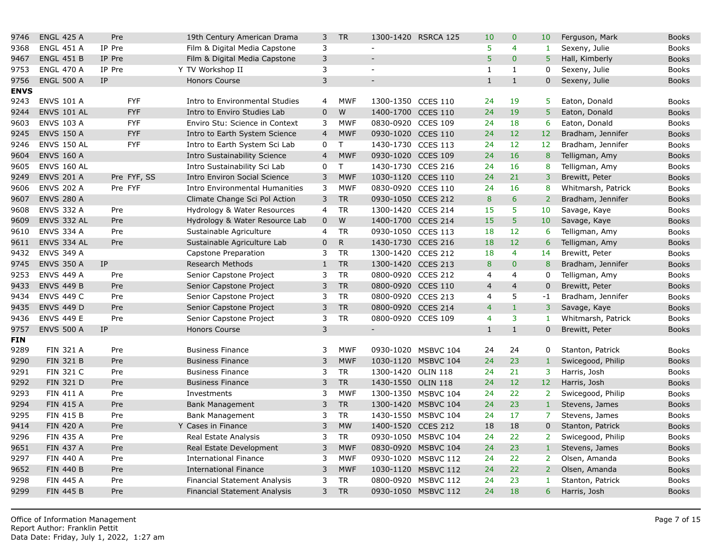| 9746        | <b>ENGL 425 A</b>  | Pre         | 19th Century American Drama         | $\mathsf{3}$   | <b>TR</b>    |                          | 1300-1420 RSRCA 125 | 10             | $\overline{0}$  | 10              |
|-------------|--------------------|-------------|-------------------------------------|----------------|--------------|--------------------------|---------------------|----------------|-----------------|-----------------|
| 9368        | <b>ENGL 451 A</b>  | IP Pre      | Film & Digital Media Capstone       | 3              |              | $\blacksquare$           |                     | 5              | 4               | $\mathbf{1}$    |
| 9467        | <b>ENGL 451 B</b>  | IP Pre      | Film & Digital Media Capstone       | $\mathsf{3}$   |              | $\overline{a}$           |                     | 5              | $\overline{0}$  | 5 <sup>5</sup>  |
| 9753        | <b>ENGL 470 A</b>  | IP Pre      | Y TV Workshop II                    | 3              |              | $\sim$                   |                     | $\mathbf{1}$   | $\mathbf{1}$    | 0               |
| 9756        | <b>ENGL 500 A</b>  | IP          | <b>Honors Course</b>                | 3              |              | $\blacksquare$           |                     | $\mathbf{1}$   | $\mathbf{1}$    | $\overline{0}$  |
| <b>ENVS</b> |                    |             |                                     |                |              |                          |                     |                |                 |                 |
| 9243        | <b>ENVS 101 A</b>  | <b>FYF</b>  | Intro to Environmental Studies      | 4              | <b>MWF</b>   | 1300-1350 CCES 110       |                     | 24             | 19              | 5               |
| 9244        | <b>ENVS 101 AL</b> | <b>FYF</b>  | Intro to Enviro Studies Lab         | $\mathbf 0$    | W            | 1400-1700 CCES 110       |                     | 24             | 19              | $\overline{5}$  |
| 9603        | <b>ENVS 103 A</b>  | <b>FYF</b>  | Enviro Stu: Science in Context      | 3              | <b>MWF</b>   | 0830-0920 CCES 109       |                     | 24             | 18              | 6               |
| 9245        | <b>ENVS 150 A</b>  | <b>FYF</b>  | Intro to Earth System Science       | $\overline{4}$ | <b>MWF</b>   | 0930-1020 CCES 110       |                     | 24             | 12              | 12              |
| 9246        | <b>ENVS 150 AL</b> | <b>FYF</b>  | Intro to Earth System Sci Lab       | 0              | $\mathsf{T}$ | 1430-1730 CCES 113       |                     | 24             | 12              | 12 <sub>2</sub> |
| 9604        | <b>ENVS 160 A</b>  |             | Intro Sustainability Science        | $\overline{4}$ | <b>MWF</b>   | 0930-1020 CCES 109       |                     | 24             | 16              | 8               |
| 9605        | <b>ENVS 160 AL</b> |             | Intro Sustainability Sci Lab        | $\mathbf 0$    | $\mathsf{T}$ | 1430-1730 CCES 216       |                     | 24             | 16              | 8               |
| 9249        | <b>ENVS 201 A</b>  | Pre FYF, SS | <b>Intro Environ Social Science</b> | 3              | <b>MWF</b>   | 1030-1120 CCES 110       |                     | 24             | 21              | 3               |
| 9606        | <b>ENVS 202 A</b>  | Pre FYF     | Intro Environmental Humanities      | 3              | <b>MWF</b>   | 0830-0920 CCES 110       |                     | 24             | 16              | 8               |
| 9607        | <b>ENVS 280 A</b>  |             | Climate Change Sci Pol Action       | 3              | <b>TR</b>    | 0930-1050 CCES 212       |                     | $\bf8$         | $6\overline{6}$ | $\overline{2}$  |
| 9608        | <b>ENVS 332 A</b>  | Pre         | Hydrology & Water Resources         | 4              | <b>TR</b>    | 1300-1420 CCES 214       |                     | 15             | 5               | 10              |
| 9609        | ENVS 332 AL        | Pre         | Hydrology & Water Resource Lab      | $\mathbf 0$    | ${\sf W}$    | 1400-1700 CCES 214       |                     | 15             | 5               | 10              |
| 9610        | <b>ENVS 334 A</b>  | Pre         | Sustainable Agriculture             | 4              | <b>TR</b>    | 0930-1050 CCES 113       |                     | 18             | 12              | 6               |
| 9611        | ENVS 334 AL        | Pre         | Sustainable Agriculture Lab         | $\mathbf 0$    | ${\sf R}$    | 1430-1730 CCES 216       |                     | 18             | 12              | 6 <sup>1</sup>  |
| 9432        | <b>ENVS 349 A</b>  |             | Capstone Preparation                | 3              | <b>TR</b>    | 1300-1420 CCES 212       |                     | 18             | $\overline{4}$  | 14              |
| 9745        | <b>ENVS 350 A</b>  | IP          | <b>Research Methods</b>             | $\mathbf{1}$   | <b>TR</b>    | 1300-1420 CCES 213       |                     | 8              | $\overline{0}$  | 8               |
| 9253        | <b>ENVS 449 A</b>  | Pre         | Senior Capstone Project             | 3              | <b>TR</b>    | 0800-0920 CCES 212       |                     | $\overline{4}$ | $\overline{4}$  | $\mathbf 0$     |
| 9433        | <b>ENVS 449 B</b>  | Pre         | Senior Capstone Project             | 3              | <b>TR</b>    | 0800-0920 CCES 110       |                     | $\overline{4}$ | $\overline{4}$  | $\overline{0}$  |
| 9434        | <b>ENVS 449 C</b>  | Pre         | Senior Capstone Project             | 3              | <b>TR</b>    | 0800-0920 CCES 213       |                     | 4              | 5               | $-1$            |
| 9435        | <b>ENVS 449 D</b>  | Pre         | Senior Capstone Project             | 3              | <b>TR</b>    | 0800-0920 CCES 214       |                     | $\overline{4}$ | $\mathbf{1}$    | 3               |
| 9436        | <b>ENVS 449 E</b>  | Pre         | Senior Capstone Project             | 3              | <b>TR</b>    | 0800-0920 CCES 109       |                     | $\overline{4}$ | 3               | $\mathbf{1}$    |
| 9757        | <b>ENVS 500 A</b>  | IP          | Honors Course                       | 3              |              | $\overline{\phantom{a}}$ |                     | $\mathbf{1}$   | $\mathbf{1}$    | $\overline{0}$  |
| <b>FIN</b>  |                    |             |                                     |                |              |                          |                     |                |                 |                 |
| 9289        | <b>FIN 321 A</b>   | Pre         | <b>Business Finance</b>             | 3              | <b>MWF</b>   |                          | 0930-1020 MSBVC 104 | 24             | 24              | $\mathbf 0$     |
| 9290        | <b>FIN 321 B</b>   | Pre         | <b>Business Finance</b>             | $\mathsf{3}$   | <b>MWF</b>   |                          | 1030-1120 MSBVC 104 | 24             | 23              | $1\,$           |
| 9291        | <b>FIN 321 C</b>   | Pre         | <b>Business Finance</b>             | 3              | <b>TR</b>    | 1300-1420 OLIN 118       |                     | 24             | 21              | 3               |
| 9292        | <b>FIN 321 D</b>   | Pre         | <b>Business Finance</b>             | $\mathsf{3}$   | <b>TR</b>    | 1430-1550 OLIN 118       |                     | 24             | 12              | 12 <sub>2</sub> |
| 9293        | <b>FIN 411 A</b>   | Pre         | Investments                         | 3              | <b>MWF</b>   |                          | 1300-1350 MSBVC 104 | 24             | 22              | $\overline{2}$  |
| 9294        | <b>FIN 415 A</b>   | Pre         | <b>Bank Management</b>              | 3              | <b>TR</b>    |                          | 1300-1420 MSBVC 104 | 24             | 23              | $1\,$           |
| 9295        | <b>FIN 415 B</b>   | Pre         | <b>Bank Management</b>              | 3              | <b>TR</b>    |                          | 1430-1550 MSBVC 104 | 24             | 17              | $\overline{7}$  |
| 9414        | <b>FIN 420 A</b>   | Pre         | Y Cases in Finance                  | 3              | <b>MW</b>    | 1400-1520 CCES 212       |                     | 18             | 18              | $\pmb{0}$       |
| 9296        | <b>FIN 435 A</b>   | Pre         | Real Estate Analysis                | 3              | <b>TR</b>    |                          | 0930-1050 MSBVC 104 | 24             | 22              | $2^{\circ}$     |
| 9651        | <b>FIN 437 A</b>   | Pre         | Real Estate Development             | 3              | <b>MWF</b>   |                          | 0830-0920 MSBVC 104 | 24             | 23              | $\mathbf{1}$    |
| 9297        | <b>FIN 440 A</b>   | Pre         | <b>International Finance</b>        | 3              | <b>MWF</b>   |                          | 0930-1020 MSBVC 112 | 24             | 22              | 2 <sup>1</sup>  |
| 9652        | <b>FIN 440 B</b>   | Pre         | <b>International Finance</b>        | 3              | <b>MWF</b>   |                          | 1030-1120 MSBVC 112 | 24             | 22              | 2 <sup>1</sup>  |
| 9298        | <b>FIN 445 A</b>   | Pre         | <b>Financial Statement Analysis</b> | 3              | <b>TR</b>    |                          | 0800-0920 MSBVC 112 | 24             | 23              | $\mathbf{1}$    |
| 9299        | <b>FIN 445 B</b>   | Pre         | <b>Financial Statement Analysis</b> | 3              | <b>TR</b>    |                          | 0930-1050 MSBVC 112 | 24             | 18              | $6\overline{6}$ |
|             |                    |             |                                     |                |              |                          |                     |                |                 |                 |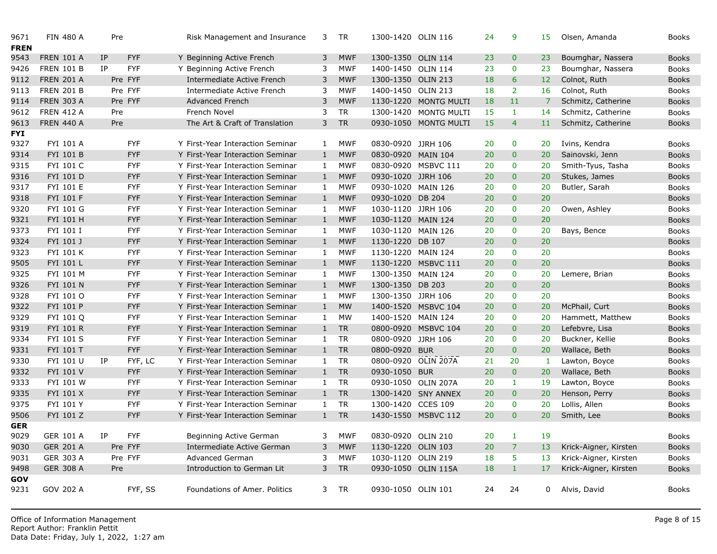| 9671<br><b>FREN</b> | <b>FIN 480 A</b>  | Pre     |            | Risk Management and Insurance    | 3            | TR         | 1300-1420 OLIN 116  |                          | 24        | 9              | 15              |
|---------------------|-------------------|---------|------------|----------------------------------|--------------|------------|---------------------|--------------------------|-----------|----------------|-----------------|
| 9543                | <b>FREN 101 A</b> | IP      | <b>FYF</b> | Y Beginning Active French        | 3            | <b>MWF</b> | 1300-1350 OLIN 114  |                          | 23        | $\mathbf{0}$   | 23              |
| 9426                | <b>FREN 101 B</b> | IP      | <b>FYF</b> | Y Beginning Active French        | 3            | <b>MWF</b> | 1400-1450 OLIN 114  |                          | 23        | $\mathbf 0$    | 23              |
| 9112                | <b>FREN 201 A</b> | Pre FYF |            | Intermediate Active French       | 3            | <b>MWF</b> | 1300-1350 OLIN 213  |                          | 18        | 6              | 12              |
| 9113                | <b>FREN 201 B</b> | Pre FYF |            | Intermediate Active French       | 3            | <b>MWF</b> | 1400-1450 OLIN 213  |                          | 18        | $\overline{2}$ | 16              |
| 9114                | <b>FREN 303 A</b> | Pre FYF |            | Advanced French                  | 3            | <b>MWF</b> |                     | 1130-1220 MONTG MULTI    | 18        | 11             | $\overline{7}$  |
| 9612                | <b>FREN 412 A</b> | Pre     |            | French Novel                     | 3            | <b>TR</b>  |                     | 1300-1420 MONTG MULTI    | 15        | $\mathbf{1}$   | 14              |
| 9613                | <b>FREN 440 A</b> | Pre     |            | The Art & Craft of Translation   | 3            | <b>TR</b>  |                     | 0930-1050 MONTG MULTI    | 15        | $\overline{4}$ | <sup>11</sup>   |
| <b>FYI</b>          |                   |         |            |                                  |              |            |                     |                          |           |                |                 |
| 9327                | FYI 101 A         |         | <b>FYF</b> | Y First-Year Interaction Seminar | $\mathbf{1}$ | <b>MWF</b> | 0830-0920 JJRH 106  |                          | 20        | 0              | 20              |
| 9314                | FYI 101 B         |         | <b>FYF</b> | Y First-Year Interaction Seminar | $\mathbf{1}$ | <b>MWF</b> | 0830-0920 MAIN 104  |                          | 20        | $\mathbf{0}$   | 20              |
| 9315                | FYI 101 C         |         | <b>FYF</b> | Y First-Year Interaction Seminar | 1            | <b>MWF</b> |                     | 0830-0920 MSBVC 111      | 20        | $\mathbf 0$    | 20              |
| 9316                | FYI 101 D         |         | <b>FYF</b> | Y First-Year Interaction Seminar | $\mathbf{1}$ | <b>MWF</b> | 0930-1020 JJRH 106  |                          | 20        | $\mathbf{0}$   | 20              |
| 9317                | FYI 101 E         |         | <b>FYF</b> | Y First-Year Interaction Seminar | 1            | <b>MWF</b> | 0930-1020 MAIN 126  |                          | 20        | $\mathbf 0$    | 20              |
| 9318                | FYI 101 F         |         | <b>FYF</b> | Y First-Year Interaction Seminar | $\mathbf{1}$ | <b>MWF</b> | 0930-1020 DB 204    |                          | 20        | $\mathbf{0}$   | 20              |
| 9320                | FYI 101 G         |         | <b>FYF</b> | Y First-Year Interaction Seminar | 1            | <b>MWF</b> | 1030-1120 JJRH 106  |                          | 20        | $\mathbf 0$    | 20              |
| 9321                | FYI 101 H         |         | <b>FYF</b> | Y First-Year Interaction Seminar | $\mathbf{1}$ | <b>MWF</b> | 1030-1120 MAIN 124  |                          | 20        | $\mathbf{0}$   | 20              |
| 9373                | FYI 101 I         |         | <b>FYF</b> | Y First-Year Interaction Seminar | 1            | <b>MWF</b> | 1030-1120 MAIN 126  |                          | 20        | $\mathbf 0$    | 20              |
| 9324                | FYI 101 J         |         | <b>FYF</b> | Y First-Year Interaction Seminar | $\mathbf{1}$ | <b>MWF</b> | 1130-1220 DB 107    |                          | 20        | $\mathbf{0}$   | 20              |
| 9323                | FYI 101 K         |         | <b>FYF</b> | Y First-Year Interaction Seminar | 1            | <b>MWF</b> | 1130-1220 MAIN 124  |                          | 20        | $\mathbf 0$    | 20              |
| 9505                | FYI 101 L         |         | <b>FYF</b> | Y First-Year Interaction Seminar | $\mathbf{1}$ | <b>MWF</b> |                     | 1130-1220 MSBVC 111      | 20        | $\mathbf{0}$   | 20              |
| 9325                | FYI 101 M         |         | <b>FYF</b> | Y First-Year Interaction Seminar | 1            | <b>MWF</b> | 1300-1350 MAIN 124  |                          | 20        | $\mathbf 0$    | 20              |
| 9326                | FYI 101 N         |         | <b>FYF</b> | Y First-Year Interaction Seminar | $\mathbf{1}$ | <b>MWF</b> | 1300-1350 DB 203    |                          | 20        | $\mathbf{0}$   | 20              |
| 9328                | FYI 101 O         |         | <b>FYF</b> | Y First-Year Interaction Seminar | 1            | <b>MWF</b> | 1300-1350 JJRH 106  |                          | 20        | $\mathbf 0$    | 20              |
| 9322                | FYI 101 P         |         | <b>FYF</b> | Y First-Year Interaction Seminar | $\mathbf{1}$ | <b>MW</b>  |                     | 1400-1520 MSBVC 104      | 20        | $\mathbf{0}$   | 20              |
| 9329                | FYI 101 Q         |         | <b>FYF</b> | Y First-Year Interaction Seminar | 1            | <b>MW</b>  | 1400-1520 MAIN 124  |                          | 20        | $\mathbf 0$    | 20              |
| 9319                | FYI 101 R         |         | <b>FYF</b> | Y First-Year Interaction Seminar | $\mathbf{1}$ | <b>TR</b>  |                     | 0800-0920 MSBVC 104      | 20        | $\mathbf{0}$   | 20              |
| 9334                | <b>FYI 101 S</b>  |         | <b>FYF</b> | Y First-Year Interaction Seminar | 1            | <b>TR</b>  | 0800-0920 JJRH 106  |                          | 20        | $\mathbf 0$    | 20              |
| 9331                | FYI 101 T         |         | <b>FYF</b> | Y First-Year Interaction Seminar | $\mathbf{1}$ | <b>TR</b>  | 0800-0920 BUR       |                          | 20        | $\mathbf{0}$   | 20              |
| 9330                | FYI 101 U         | IP      | FYF, LC    | Y First-Year Interaction Seminar | 1            | <b>TR</b>  | 0800-0920 OLIN 207A |                          | 21        | 20             | -1              |
| 9332                | FYI 101 V         |         | <b>FYF</b> | Y First-Year Interaction Seminar | $\mathbf{1}$ | <b>TR</b>  | 0930-1050 BUR       |                          | 20        | $\mathbf{0}$   | 20              |
| 9333                | FYI 101 W         |         | <b>FYF</b> | Y First-Year Interaction Seminar | 1            | TR         | 0930-1050 OLIN 207A |                          | 20        | $\mathbf{1}$   | 19              |
| 9335                | FYI 101 X         |         | <b>FYF</b> | Y First-Year Interaction Seminar | $\mathbf{1}$ | <b>TR</b>  |                     | 1300-1420 SNY ANNEX      | 20        | $\mathbf{0}$   | 20 <sub>2</sub> |
| 9375                | FYI 101 Y         |         | <b>FYF</b> | Y First-Year Interaction Seminar | 1            | <b>TR</b>  | 1300-1420 CCES 109  |                          | 20        | $\mathbf 0$    | 20              |
| 9506                | FYI 101 Z         |         | <b>FYF</b> | Y First-Year Interaction Seminar | $1$ TR       |            |                     | 1430-1550 MSBVC 112      | 20        | $\mathbf{0}$   | 20 <sub>2</sub> |
| <b>GER</b>          |                   |         |            |                                  |              |            |                     |                          |           |                |                 |
| 9029                | GER 101 A IP      |         | <b>FYF</b> | Beginning Active German          |              |            |                     | 3 MWF 0830-0920 OLIN 210 | 20        | $\mathbf{1}$   | 19              |
| 9030                | <b>GER 201 A</b>  | Pre FYF |            | Intermediate Active German       | 3            | MWF        | 1130-1220 OLIN 103  |                          | 20        | 7              | 13              |
| 9031                | <b>GER 303 A</b>  | Pre FYF |            | Advanced German                  | 3            | MWF        | 1030-1120 OLIN 219  |                          | 18        | 5              | 13              |
| 9498                | <b>GER 308 A</b>  | Pre     |            | Introduction to German Lit       |              | 3 TR       | 0930-1050 OLIN 115A |                          | <b>18</b> | $\mathbf{1}$   | 17              |
| GOV                 |                   |         |            |                                  |              |            |                     |                          |           |                |                 |
| 9231                | GOV 202 A         |         | FYF, SS    | Foundations of Amer. Politics    |              | 3 TR       | 0930-1050 OLIN 101  |                          | 24        | 24             | $\mathbf{0}$    |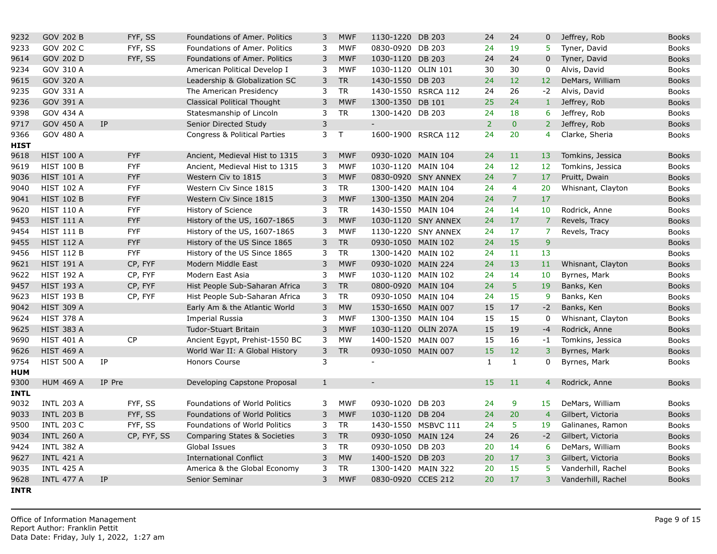| 9232        | <b>GOV 202 B</b>  |        | FYF, SS     | Foundations of Amer. Politics           | 3            | <b>MWF</b> | 1130-1220 DB 203   |                     | 24             | 24             | 0               |
|-------------|-------------------|--------|-------------|-----------------------------------------|--------------|------------|--------------------|---------------------|----------------|----------------|-----------------|
| 9233        | GOV 202 C         |        | FYF, SS     | Foundations of Amer. Politics           | 3            | <b>MWF</b> | 0830-0920 DB 203   |                     | 24             | 19             | 5 <sup>7</sup>  |
| 9614        | GOV 202 D         |        | FYF, SS     | Foundations of Amer. Politics           | 3            | <b>MWF</b> | 1030-1120 DB 203   |                     | 24             | 24             | $\mathbf 0$     |
| 9234        | GOV 310 A         |        |             | American Political Develop I            | 3            | <b>MWF</b> | 1030-1120 OLIN 101 |                     | 30             | 30             | 0               |
| 9615        | GOV 320 A         |        |             | Leadership & Globalization SC           | 3            | <b>TR</b>  | 1430-1550 DB 203   |                     | 24             | 12             | 12              |
| 9235        | GOV 331 A         |        |             | The American Presidency                 | 3            | <b>TR</b>  |                    | 1430-1550 RSRCA 112 | 24             | 26             | $-2$            |
| 9236        | GOV 391 A         |        |             | Classical Political Thought             | 3            | <b>MWF</b> | 1300-1350 DB 101   |                     | 25             | 24             | $\,1\,$         |
| 9398        | GOV 434 A         |        |             | Statesmanship of Lincoln                | 3            | <b>TR</b>  | 1300-1420 DB 203   |                     | 24             | 18             | 6               |
| 9717        | GOV 450 A         | IP     |             | Senior Directed Study                   | $\mathsf{3}$ |            | $\blacksquare$     |                     | 2 <sup>1</sup> | $\overline{0}$ | $\overline{2}$  |
| 9366        | GOV 480 A         |        |             | Congress & Political Parties            | 3            | T          |                    | 1600-1900 RSRCA 112 | 24             | 20             | $\overline{4}$  |
| <b>HIST</b> |                   |        |             |                                         |              |            |                    |                     |                |                |                 |
| 9618        | <b>HIST 100 A</b> |        | <b>FYF</b>  | Ancient, Medieval Hist to 1315          | 3            | <b>MWF</b> | 0930-1020 MAIN 104 |                     | 24             | 11             | 13              |
| 9619        | <b>HIST 100 B</b> |        | <b>FYF</b>  | Ancient, Medieval Hist to 1315          | 3            | <b>MWF</b> | 1030-1120 MAIN 104 |                     | 24             | 12             | 12 <sub>2</sub> |
| 9036        | <b>HIST 101 A</b> |        | <b>FYF</b>  | Western Civ to 1815                     | 3            | <b>MWF</b> |                    | 0830-0920 SNY ANNEX | 24             | $\overline{7}$ | 17              |
| 9040        | <b>HIST 102 A</b> |        | <b>FYF</b>  | Western Civ Since 1815                  | 3            | <b>TR</b>  | 1300-1420 MAIN 104 |                     | 24             | $\overline{4}$ | 20              |
| 9041        | <b>HIST 102 B</b> |        | <b>FYF</b>  | Western Civ Since 1815                  | 3            | <b>MWF</b> | 1300-1350 MAIN 204 |                     | 24             | $\overline{7}$ | 17              |
| 9620        | <b>HIST 110 A</b> |        | <b>FYF</b>  | History of Science                      | 3            | <b>TR</b>  | 1430-1550 MAIN 104 |                     | 24             | 14             | 10              |
| 9453        | <b>HIST 111 A</b> |        | <b>FYF</b>  | History of the US, 1607-1865            | 3            | <b>MWF</b> |                    | 1030-1120 SNY ANNEX | 24             | 17             | $\overline{7}$  |
| 9454        | <b>HIST 111 B</b> |        | <b>FYF</b>  | History of the US, 1607-1865            | 3            | <b>MWF</b> |                    | 1130-1220 SNY ANNEX | 24             | 17             | $\overline{7}$  |
| 9455        | <b>HIST 112 A</b> |        | <b>FYF</b>  | History of the US Since 1865            | 3            | <b>TR</b>  | 0930-1050 MAIN 102 |                     | 24             | 15             | 9               |
| 9456        | <b>HIST 112 B</b> |        | <b>FYF</b>  | History of the US Since 1865            | 3            | <b>TR</b>  | 1300-1420 MAIN 102 |                     | 24             | 11             | 13              |
| 9621        | <b>HIST 191 A</b> |        | CP, FYF     | Modern Middle East                      | 3            | <b>MWF</b> | 0930-1020 MAIN 224 |                     | 24             | 13             | 11              |
| 9622        | <b>HIST 192 A</b> |        | CP, FYF     | Modern East Asia                        | 3            | <b>MWF</b> | 1030-1120 MAIN 102 |                     | 24             | 14             | 10              |
| 9457        | <b>HIST 193 A</b> |        | CP, FYF     | Hist People Sub-Saharan Africa          | $\mathsf 3$  | <b>TR</b>  | 0800-0920 MAIN 104 |                     | 24             | 5 <sup>1</sup> | 19              |
| 9623        | <b>HIST 193 B</b> |        | CP, FYF     | Hist People Sub-Saharan Africa          | 3            | <b>TR</b>  | 0930-1050 MAIN 104 |                     | 24             | 15             | 9               |
| 9042        | <b>HIST 309 A</b> |        |             | Early Am & the Atlantic World           | 3            | <b>MW</b>  | 1530-1650 MAIN 007 |                     | 15             | 17             | $-2$            |
| 9624        | <b>HIST 378 A</b> |        |             | <b>Imperial Russia</b>                  | 3            | <b>MWF</b> | 1300-1350 MAIN 104 |                     | 15             | 15             | $\mathbf 0$     |
| 9625        | <b>HIST 383 A</b> |        |             | Tudor-Stuart Britain                    | 3            | <b>MWF</b> |                    | 1030-1120 OLIN 207A | 15             | 19             | $-4$            |
| 9690        | <b>HIST 401 A</b> |        | <b>CP</b>   | Ancient Egypt, Prehist-1550 BC          | 3            | MW         | 1400-1520 MAIN 007 |                     | 15             | 16             | $-1$            |
| 9626        | <b>HIST 469 A</b> |        |             | World War II: A Global History          | 3            | <b>TR</b>  | 0930-1050 MAIN 007 |                     | 15             | 12             | 3               |
| 9754        | <b>HIST 500 A</b> | IP     |             | Honors Course                           | 3            |            | $\overline{a}$     |                     | 1              | $\mathbf{1}$   | 0               |
| <b>HUM</b>  |                   |        |             |                                         |              |            |                    |                     |                |                |                 |
| 9300        | <b>HUM 469 A</b>  | IP Pre |             | Developing Capstone Proposal            | $\mathbf{1}$ |            | $\blacksquare$     |                     | 15             | 11             | $\overline{4}$  |
| <b>INTL</b> |                   |        |             |                                         |              |            |                    |                     |                |                |                 |
| 9032        | <b>INTL 203 A</b> |        | FYF, SS     | Foundations of World Politics           | 3            | <b>MWF</b> | 0930-1020 DB 203   |                     | 24             | 9              | 15              |
| 9033        | <b>INTL 203 B</b> |        | FYF, SS     | <b>Foundations of World Politics</b>    | 3            | <b>MWF</b> | 1030-1120 DB 204   |                     | 24             | 20             | $\overline{4}$  |
| 9500        | <b>INTL 203 C</b> |        | FYF, SS     | Foundations of World Politics           | 3            | <b>TR</b>  |                    | 1430-1550 MSBVC 111 | 24             | -5             | 19              |
| 9034        | <b>INTL 260 A</b> |        | CP, FYF, SS | <b>Comparing States &amp; Societies</b> | 3            | <b>TR</b>  | 0930-1050 MAIN 124 |                     | 24             | 26             | $-2$            |
| 9424        | <b>INTL 382 A</b> |        |             | Global Issues                           | 3            | <b>TR</b>  | 0930-1050 DB 203   |                     | 20             | 14             | 6               |
| 9627        | <b>INTL 421 A</b> |        |             | <b>International Conflict</b>           | 3            | <b>MW</b>  | 1400-1520 DB 203   |                     | 20             | 17             | $\overline{3}$  |
| 9035        | <b>INTL 425 A</b> |        |             | America & the Global Economy            | 3            | <b>TR</b>  | 1300-1420 MAIN 322 |                     | 20             | 15             | 5               |
| 9628        | <b>INTL 477 A</b> | IP     |             | Senior Seminar                          | 3            | <b>MWF</b> | 0830-0920 CCES 212 |                     | 20             | 17             | 3               |
| <b>INTR</b> |                   |        |             |                                         |              |            |                    |                     |                |                |                 |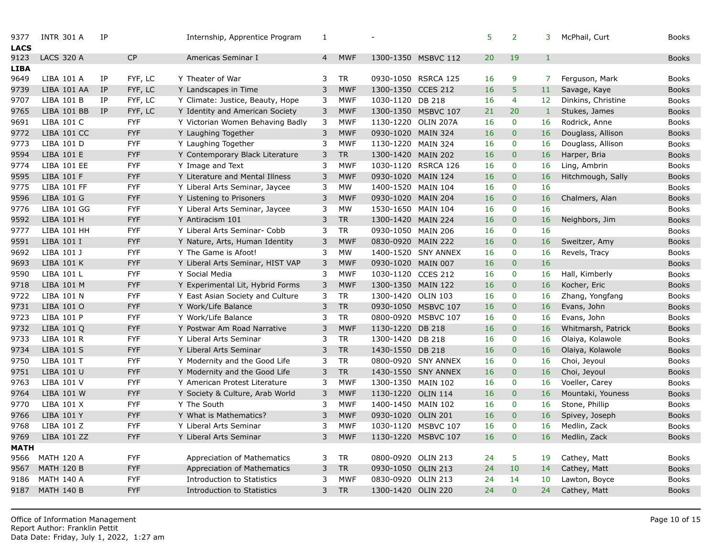| 9377<br><b>LACS</b> | <b>INTR 301 A</b>  | IP |            | Internship, Apprentice Program    | 1              |            |                    |                     | 5  | $\overline{2}$ | 3               |
|---------------------|--------------------|----|------------|-----------------------------------|----------------|------------|--------------------|---------------------|----|----------------|-----------------|
| 9123                | <b>LACS 320 A</b>  |    | CP         | Americas Seminar I                | $\overline{4}$ | <b>MWF</b> |                    | 1300-1350 MSBVC 112 | 20 | 19             | $\mathbf{1}$    |
| LIBA                |                    |    |            |                                   |                |            |                    |                     |    |                |                 |
| 9649                | LIBA 101 A         | IP | FYF, LC    | Y Theater of War                  | 3              | TR         |                    | 0930-1050 RSRCA 125 | 16 | 9              | $\overline{7}$  |
| 9739                | LIBA 101 AA        | IP | FYF, LC    | Y Landscapes in Time              | 3              | <b>MWF</b> | 1300-1350 CCES 212 |                     | 16 | 5              | 11              |
| 9707                | LIBA 101 B         | IP | FYF, LC    | Y Climate: Justice, Beauty, Hope  | 3              | <b>MWF</b> | 1030-1120 DB 218   |                     | 16 | 4              | 12 <sup>2</sup> |
| 9765                | LIBA 101 BB        | IP | FYF, LC    | Y Identity and American Society   | 3              | <b>MWF</b> |                    | 1300-1350 MSBVC 107 | 21 | 20             | $\mathbf 1$     |
| 9691                | LIBA 101 C         |    | <b>FYF</b> | Y Victorian Women Behaving Badly  | 3              | <b>MWF</b> |                    | 1130-1220 OLIN 207A | 16 | $\mathbf{0}$   | 16              |
| 9772                | <b>LIBA 101 CC</b> |    | <b>FYF</b> | Y Laughing Together               | 3              | <b>MWF</b> | 0930-1020 MAIN 324 |                     | 16 | $\mathbf{0}$   | 16              |
| 9773                | LIBA 101 D         |    | <b>FYF</b> | Y Laughing Together               | 3              | <b>MWF</b> | 1130-1220 MAIN 324 |                     | 16 | $\mathbf 0$    | 16              |
| 9594                | LIBA 101 E         |    | <b>FYF</b> | Y Contemporary Black Literature   | 3              | <b>TR</b>  | 1300-1420 MAIN 202 |                     | 16 | $\overline{0}$ | 16              |
| 9774                | <b>LIBA 101 EE</b> |    | <b>FYF</b> | Y Image and Text                  | 3              | <b>MWF</b> |                    | 1030-1120 RSRCA 126 | 16 | $\mathbf 0$    | 16              |
| 9595                | LIBA 101 F         |    | <b>FYF</b> | Y Literature and Mental Illness   | 3              | <b>MWF</b> | 0930-1020 MAIN 124 |                     | 16 | $\overline{0}$ | 16              |
| 9775                | <b>LIBA 101 FF</b> |    | <b>FYF</b> | Y Liberal Arts Seminar, Jaycee    | 3              | <b>MW</b>  | 1400-1520 MAIN 104 |                     | 16 | $\mathbf 0$    | 16              |
| 9596                | <b>LIBA 101 G</b>  |    | <b>FYF</b> | Y Listening to Prisoners          | 3              | <b>MWF</b> | 0930-1020 MAIN 204 |                     | 16 | $\overline{0}$ | 16              |
| 9776                | <b>LIBA 101 GG</b> |    | <b>FYF</b> | Y Liberal Arts Seminar, Jaycee    | 3              | <b>MW</b>  | 1530-1650 MAIN 104 |                     | 16 | $\mathbf 0$    | 16              |
| 9592                | LIBA 101 H         |    | <b>FYF</b> | Y Antiracism 101                  | 3              | <b>TR</b>  | 1300-1420 MAIN 224 |                     | 16 | $\mathbf{0}$   | 16              |
| 9777                | LIBA 101 HH        |    | <b>FYF</b> | Y Liberal Arts Seminar- Cobb      | 3              | <b>TR</b>  | 0930-1050 MAIN 206 |                     | 16 | $\mathbf{0}$   | 16              |
| 9591                | LIBA 101 I         |    | <b>FYF</b> | Y Nature, Arts, Human Identity    | 3              | <b>MWF</b> | 0830-0920 MAIN 222 |                     | 16 | $\mathbf{0}$   | 16              |
| 9692                | LIBA 101 J         |    | <b>FYF</b> | Y The Game is Afoot!              | 3              | <b>MW</b>  |                    | 1400-1520 SNY ANNEX | 16 | $\mathbf 0$    | 16              |
| 9693                | <b>LIBA 101 K</b>  |    | <b>FYF</b> | Y Liberal Arts Seminar, HIST VAP  | 3              | <b>MWF</b> | 0930-1020 MAIN 007 |                     | 16 | $\mathbf{0}$   | 16              |
| 9590                | LIBA 101 L         |    | <b>FYF</b> | Y Social Media                    | 3              | <b>MWF</b> | 1030-1120 CCES 212 |                     | 16 | $\mathbf{0}$   | 16              |
| 9718                | LIBA 101 M         |    | <b>FYF</b> | Y Experimental Lit, Hybrid Forms  | 3              | <b>MWF</b> | 1300-1350 MAIN 122 |                     | 16 | $\mathbf{0}$   | 16              |
| 9722                | LIBA 101 N         |    | <b>FYF</b> | Y East Asian Society and Culture  | 3              | <b>TR</b>  | 1300-1420 OLIN 103 |                     | 16 | $\mathbf 0$    | 16              |
| 9731                | LIBA 101 O         |    | <b>FYF</b> | Y Work/Life Balance               | 3              | <b>TR</b>  |                    | 0930-1050 MSBVC 107 | 16 | $\overline{0}$ | 16              |
| 9723                | LIBA 101 P         |    | <b>FYF</b> | Y Work/Life Balance               | 3              | <b>TR</b>  |                    | 0800-0920 MSBVC 107 | 16 | $\mathbf 0$    | 16              |
| 9732                | LIBA 101 Q         |    | <b>FYF</b> | Y Postwar Am Road Narrative       | 3              | <b>MWF</b> | 1130-1220 DB 218   |                     | 16 | $\overline{0}$ | 16              |
| 9733                | LIBA 101 R         |    | <b>FYF</b> | Y Liberal Arts Seminar            | 3              | <b>TR</b>  | 1300-1420 DB 218   |                     | 16 | $\mathbf{0}$   | 16              |
| 9734                | <b>LIBA 101 S</b>  |    | <b>FYF</b> | Y Liberal Arts Seminar            | 3              | <b>TR</b>  | 1430-1550 DB 218   |                     | 16 | $\pmb{0}$      | 16              |
| 9750                | LIBA 101 T         |    | <b>FYF</b> | Y Modernity and the Good Life     | 3              | <b>TR</b>  |                    | 0800-0920 SNY ANNEX | 16 | $\mathbf 0$    | 16              |
| 9751                | LIBA 101 U         |    | <b>FYF</b> | Y Modernity and the Good Life     | 3              | <b>TR</b>  |                    | 1430-1550 SNY ANNEX | 16 | $\mathbf{0}$   | 16              |
| 9763                | LIBA 101 V         |    | <b>FYF</b> | Y American Protest Literature     | 3              | <b>MWF</b> | 1300-1350 MAIN 102 |                     | 16 | $\mathbf{0}$   | 16              |
| 9764                | <b>LIBA 101 W</b>  |    | <b>FYF</b> | Y Society & Culture, Arab World   | 3              | <b>MWF</b> | 1130-1220 OLIN 114 |                     | 16 | $\pmb{0}$      | 16              |
| 9770                | LIBA 101 X         |    | <b>FYF</b> | Y The South                       | 3              | <b>MWF</b> | 1400-1450 MAIN 102 |                     | 16 | $\mathbf{0}$   | 16              |
| 9766                | <b>LIBA 101 Y</b>  |    | <b>FYF</b> | Y What is Mathematics?            | 3              | <b>MWF</b> | 0930-1020 OLIN 201 |                     | 16 | $\mathbf{0}$   | 16              |
| 9768                | LIBA 101 Z         |    | <b>FYF</b> | Y Liberal Arts Seminar            | 3              | <b>MWF</b> |                    | 1030-1120 MSBVC 107 | 16 | $\bf{0}$       | 16              |
| 9769                | LIBA 101 ZZ        |    | <b>FYF</b> | Y Liberal Arts Seminar            | 3              | <b>MWF</b> |                    | 1130-1220 MSBVC 107 | 16 | $\overline{0}$ | 16              |
| <b>MATH</b>         |                    |    |            |                                   |                |            |                    |                     |    |                |                 |
| 9566                | <b>MATH 120 A</b>  |    | <b>FYF</b> | Appreciation of Mathematics       | 3              | TR         | 0800-0920          | <b>OLIN 213</b>     | 24 | 5              | 19              |
| 9567                | <b>MATH 120 B</b>  |    | <b>FYF</b> | Appreciation of Mathematics       | 3              | <b>TR</b>  | 0930-1050 OLIN 213 |                     | 24 | 10             | 14              |
| 9186                | <b>MATH 140 A</b>  |    | <b>FYF</b> | <b>Introduction to Statistics</b> | 3              | <b>MWF</b> | 0830-0920 OLIN 213 |                     | 24 | 14             | 10              |
| 9187                | <b>MATH 140 B</b>  |    | <b>FYF</b> | Introduction to Statistics        | 3              | <b>TR</b>  | 1300-1420 OLIN 220 |                     | 24 | $\overline{0}$ | 24              |
|                     |                    |    |            |                                   |                |            |                    |                     |    |                |                 |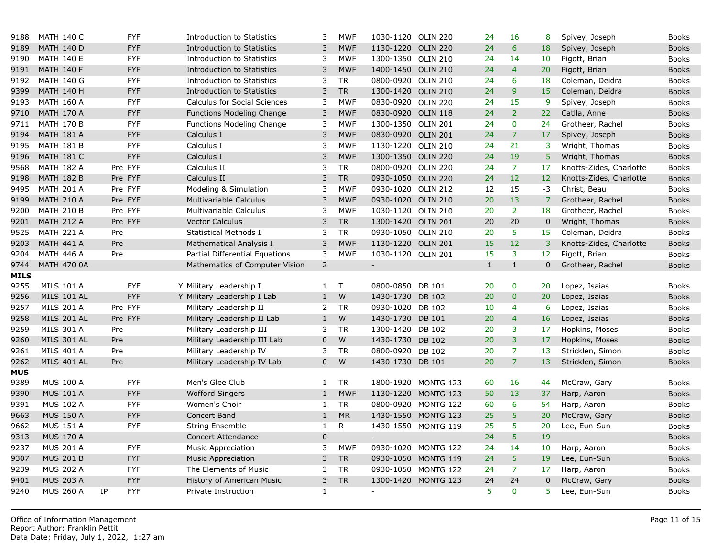| 9188        | <b>MATH 140 C</b>  | <b>FYF</b>       | Introduction to Statistics          | 3              | <b>MWF</b>   | 1030-1120 OLIN 220       |                     | 24           | 16             | 8               |
|-------------|--------------------|------------------|-------------------------------------|----------------|--------------|--------------------------|---------------------|--------------|----------------|-----------------|
| 9189        | <b>MATH 140 D</b>  | <b>FYF</b>       | <b>Introduction to Statistics</b>   | 3              | <b>MWF</b>   | 1130-1220                | <b>OLIN 220</b>     | 24           | 6              | 18              |
| 9190        | <b>MATH 140 E</b>  | <b>FYF</b>       | Introduction to Statistics          | 3              | <b>MWF</b>   | 1300-1350 OLIN 210       |                     | 24           | 14             | 10 <sup>°</sup> |
| 9191        | <b>MATH 140 F</b>  | <b>FYF</b>       | <b>Introduction to Statistics</b>   | 3              | <b>MWF</b>   | 1400-1450 OLIN 210       |                     | 24           | $\overline{4}$ | 20              |
| 9192        | <b>MATH 140 G</b>  | <b>FYF</b>       | Introduction to Statistics          | 3              | <b>TR</b>    | 0800-0920 OLIN 210       |                     | 24           | 6              | 18              |
| 9399        | <b>MATH 140 H</b>  | <b>FYF</b>       | <b>Introduction to Statistics</b>   | $\mathsf 3$    | <b>TR</b>    | 1300-1420 OLIN 210       |                     | 24           | 9              | 15              |
| 9193        | <b>MATH 160 A</b>  | <b>FYF</b>       | <b>Calculus for Social Sciences</b> | 3              | <b>MWF</b>   | 0830-0920 OLIN 220       |                     | 24           | 15             | 9               |
| 9710        | <b>MATH 170 A</b>  | <b>FYF</b>       | <b>Functions Modeling Change</b>    | $\mathbf{3}$   | <b>MWF</b>   | 0830-0920 OLIN 118       |                     | 24           | $\overline{2}$ | 22              |
| 9711        | <b>MATH 170 B</b>  | <b>FYF</b>       | Functions Modeling Change           | 3              | <b>MWF</b>   | 1300-1350 OLIN 201       |                     | 24           | $\mathbf{0}$   | 24              |
| 9194        | <b>MATH 181 A</b>  | <b>FYF</b>       | Calculus I                          | $\mathsf 3$    | <b>MWF</b>   | 0830-0920 OLIN 201       |                     | 24           | $\overline{7}$ | 17              |
| 9195        | <b>MATH 181 B</b>  | <b>FYF</b>       | Calculus I                          | 3              | <b>MWF</b>   | 1130-1220 OLIN 210       |                     | 24           | 21             | 3               |
| 9196        | <b>MATH 181 C</b>  | <b>FYF</b>       | Calculus I                          | 3              | <b>MWF</b>   | 1300-1350 OLIN 220       |                     | 24           | 19             | 5               |
| 9568        | <b>MATH 182 A</b>  | Pre FYF          | Calculus II                         | 3              | <b>TR</b>    | 0800-0920 OLIN 220       |                     | 24           | $\overline{7}$ | 17              |
| 9198        | <b>MATH 182 B</b>  | Pre FYF          | Calculus II                         | 3              | <b>TR</b>    | 0930-1050 OLIN 220       |                     | 24           | 12             | 12              |
| 9495        | <b>MATH 201 A</b>  | Pre FYF          | Modeling & Simulation               | 3              | <b>MWF</b>   | 0930-1020 OLIN 212       |                     | 12           | 15             | $-3$            |
| 9199        | <b>MATH 210 A</b>  | Pre FYF          | Multivariable Calculus              | 3              | <b>MWF</b>   | 0930-1020 OLIN 210       |                     | 20           | 13             | $\overline{7}$  |
| 9200        | <b>MATH 210 B</b>  | Pre FYF          | Multivariable Calculus              | 3              | <b>MWF</b>   | 1030-1120 OLIN 210       |                     | 20           | $\overline{2}$ | 18              |
| 9201        | <b>MATH 212 A</b>  | Pre FYF          | <b>Vector Calculus</b>              | 3              | <b>TR</b>    | 1300-1420 OLIN 201       |                     | 20           | 20             | $\mathbf{0}$    |
| 9525        | <b>MATH 221 A</b>  | Pre              | Statistical Methods I               | 3              | <b>TR</b>    | 0930-1050 OLIN 210       |                     | 20           | 5              | 15              |
| 9203        | <b>MATH 441 A</b>  | Pre              | Mathematical Analysis I             | 3              | <b>MWF</b>   | 1130-1220                | <b>OLIN 201</b>     | 15           | 12             | $\overline{3}$  |
| 9204        | <b>MATH 446 A</b>  | Pre              | Partial Differential Equations      | 3              | <b>MWF</b>   | 1030-1120 OLIN 201       |                     | 15           | 3              | 12 <sub>2</sub> |
| 9744        | <b>MATH 470 0A</b> |                  | Mathematics of Computer Vision      | $\overline{2}$ |              | $\overline{\phantom{a}}$ |                     | $\mathbf{1}$ | $\mathbf{1}$   | $\overline{0}$  |
| <b>MILS</b> |                    |                  |                                     |                |              |                          |                     |              |                |                 |
| 9255        | <b>MILS 101 A</b>  | <b>FYF</b>       | Y Military Leadership I             | $\mathbf{1}$   | T            | 0800-0850 DB 101         |                     | 20           | $\overline{0}$ | 20              |
| 9256        | <b>MILS 101 AL</b> | <b>FYF</b>       | Y Military Leadership I Lab         | $1\,$          | W            | 1430-1730 DB 102         |                     | 20           | $\pmb{0}$      | 20              |
| 9257        | <b>MILS 201 A</b>  | Pre FYF          | Military Leadership II              | 2              | <b>TR</b>    | 0930-1020 DB 102         |                     | 10           | 4              | 6               |
| 9258        | <b>MILS 201 AL</b> | Pre FYF          | Military Leadership II Lab          | $\mathbf{1}$   | W            | 1430-1730 DB 101         |                     | 20           | $\overline{4}$ | 16              |
| 9259        | <b>MILS 301 A</b>  | Pre              | Military Leadership III             | 3              | <b>TR</b>    | 1300-1420 DB 102         |                     | 20           | 3              | 17              |
| 9260        | <b>MILS 301 AL</b> | Pre              | Military Leadership III Lab         | $\mathbf 0$    | W            | 1430-1730 DB 102         |                     | 20           | 3              | 17              |
| 9261        | <b>MILS 401 A</b>  | Pre              | Military Leadership IV              | 3              | <b>TR</b>    | 0800-0920 DB 102         |                     | 20           | $\overline{7}$ | 13              |
| 9262        | MILS 401 AL        | Pre              | Military Leadership IV Lab          | $\overline{0}$ | W            | 1430-1730 DB 101         |                     | 20           | $\overline{7}$ | 13              |
| <b>MUS</b>  |                    |                  |                                     |                |              |                          |                     |              |                |                 |
| 9389        | <b>MUS 100 A</b>   | <b>FYF</b>       | Men's Glee Club                     | 1              | <b>TR</b>    |                          | 1800-1920 MONTG 123 | 60           | 16             | 44              |
| 9390        | <b>MUS 101 A</b>   | <b>FYF</b>       | Wofford Singers                     | $\mathbf{1}$   | <b>MWF</b>   |                          | 1130-1220 MONTG 123 | 50           | 13             | 37              |
| 9391        | <b>MUS 102 A</b>   | <b>FYF</b>       | Women's Choir                       | 1              | <b>TR</b>    |                          | 0800-0920 MONTG 122 | 60           | 6              | 54              |
| 9663        | <b>MUS 150 A</b>   | <b>FYF</b>       | Concert Band                        | $\mathbf{1}$   | <b>MR</b>    |                          | 1430-1550 MONTG 123 | 25           | 5              | 20              |
| 9662        | <b>MUS 151 A</b>   | <b>FYF</b>       | <b>String Ensemble</b>              | $\mathbf{1}$   | $\mathsf{R}$ |                          | 1430-1550 MONTG 119 | 25           | 5              | 20              |
| 9313        | <b>MUS 170 A</b>   |                  | <b>Concert Attendance</b>           | $\bf 0$        |              | $\equiv$                 |                     | 24           | 5              | 19              |
| 9237        | <b>MUS 201 A</b>   | <b>FYF</b>       | <b>Music Appreciation</b>           | 3              | <b>MWF</b>   |                          | 0930-1020 MONTG 122 | 24           | 14             | 10              |
| 9307        | <b>MUS 201 B</b>   | <b>FYF</b>       | <b>Music Appreciation</b>           | 3              | <b>TR</b>    |                          | 0930-1050 MONTG 119 | 24           | 5              | 19              |
| 9239        | <b>MUS 202 A</b>   | <b>FYF</b>       | The Elements of Music               | 3              | <b>TR</b>    |                          | 0930-1050 MONTG 122 | 24           | $\overline{7}$ | 17              |
| 9401        | <b>MUS 203 A</b>   | <b>FYF</b>       | History of American Music           | 3              | <b>TR</b>    |                          | 1300-1420 MONTG 123 | 24           | 24             | 0               |
| 9240        | <b>MUS 260 A</b>   | IP<br><b>FYF</b> | Private Instruction                 | $\mathbf{1}$   |              | $\blacksquare$           |                     | 5            | $\mathbf{0}$   | 5               |
|             |                    |                  |                                     |                |              |                          |                     |              |                |                 |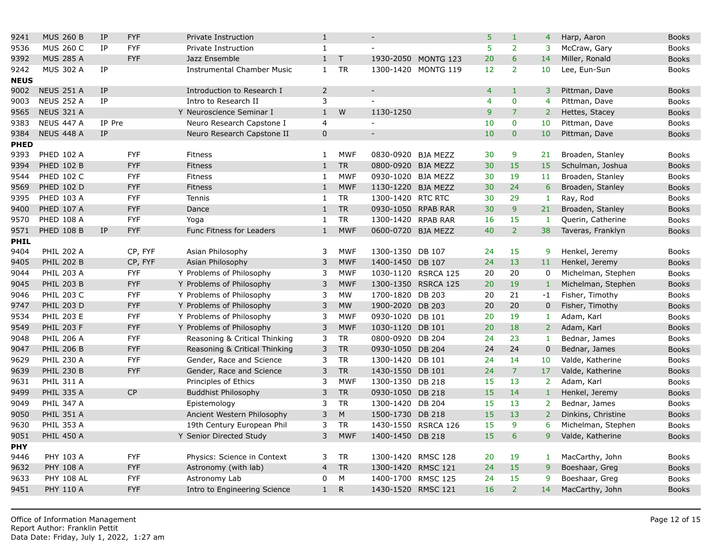| 9241        | <b>MUS 260 B</b>  | IP        | <b>FYF</b> | Private Instruction               | 1              |              |                    |                     | 5              | $\mathbf{1}$   | $\overline{4}$   |
|-------------|-------------------|-----------|------------|-----------------------------------|----------------|--------------|--------------------|---------------------|----------------|----------------|------------------|
| 9536        | <b>MUS 260 C</b>  | IP        | <b>FYF</b> | Private Instruction               | $\mathbf{1}$   |              | $\overline{a}$     |                     | 5              | $\overline{2}$ | $\mathbf{3}$     |
| 9392        | <b>MUS 285 A</b>  |           | <b>FYF</b> | Jazz Ensemble                     | $\mathbf{1}$   | $\top$       | 1930-2050          | MONTG 123           | 20             | 6              | 14               |
| 9242        | <b>MUS 302 A</b>  | ΙP        |            | <b>Instrumental Chamber Music</b> | $\mathbf{1}$   | <b>TR</b>    |                    | 1300-1420 MONTG 119 | 12             | $\overline{2}$ | 10 <sup>°</sup>  |
| <b>NEUS</b> |                   |           |            |                                   |                |              |                    |                     |                |                |                  |
| 9002        | <b>NEUS 251 A</b> | IP        |            | Introduction to Research I        | $\overline{2}$ |              | $\sim$             |                     | $\overline{4}$ | $\mathbf{1}$   | 3                |
| 9003        | <b>NEUS 252 A</b> | <b>IP</b> |            | Intro to Research II              | 3              |              | $\sim$             |                     | $\overline{4}$ | $\pmb{0}$      | 4                |
| 9565        | <b>NEUS 321 A</b> |           |            | Y Neuroscience Seminar I          | $\mathbf{1}$   | W            | 1130-1250          |                     | 9              | $\overline{7}$ | $\overline{2}$   |
| 9383        | <b>NEUS 447 A</b> | IP Pre    |            | Neuro Research Capstone I         | $\overline{4}$ |              | $\equiv$           |                     | 10             | $\mathbf 0$    | 10               |
| 9384        | NEUS 448 A        | IP        |            | Neuro Research Capstone II        | $\mathsf 0$    |              |                    |                     | 10             | $\pmb{0}$      | 10               |
| <b>PHED</b> |                   |           |            |                                   |                |              |                    |                     |                |                |                  |
| 9393        | <b>PHED 102 A</b> |           | <b>FYF</b> | Fitness                           | $\mathbf{1}$   | <b>MWF</b>   | 0830-0920 BJA MEZZ |                     | 30             | 9              | 21               |
| 9394        | <b>PHED 102 B</b> |           | <b>FYF</b> | Fitness                           | $\mathbf{1}$   | <b>TR</b>    | 0800-0920          | <b>BJA MEZZ</b>     | 30             | 15             | 15               |
| 9544        | <b>PHED 102 C</b> |           | <b>FYF</b> | Fitness                           | 1              | <b>MWF</b>   | 0930-1020 BJA MEZZ |                     | 30             | 19             | 11               |
| 9569        | <b>PHED 102 D</b> |           | <b>FYF</b> | Fitness                           | $\mathbf{1}$   | <b>MWF</b>   | 1130-1220          | <b>BJA MEZZ</b>     | 30             | 24             | $\boldsymbol{6}$ |
| 9395        | <b>PHED 103 A</b> |           | <b>FYF</b> | Tennis                            | $\mathbf{1}$   | <b>TR</b>    | 1300-1420 RTC RTC  |                     | 30             | 29             | $\mathbf{1}$     |
| 9400        | <b>PHED 107 A</b> |           | <b>FYF</b> | Dance                             | $\mathbf{1}$   | <b>TR</b>    | 0930-1050          | <b>RPAB RAR</b>     | 30             | $\overline{9}$ | 21               |
| 9570        | <b>PHED 108 A</b> |           | <b>FYF</b> | Yoga                              | 1              | <b>TR</b>    | 1300-1420          | <b>RPAB RAR</b>     | 16             | 15             | $\mathbf{1}$     |
| 9571        | <b>PHED 108 B</b> | <b>IP</b> | <b>FYF</b> | Func Fitness for Leaders          | $\mathbf{1}$   | <b>MWF</b>   | 0600-0720 BJA MEZZ |                     | 40             | $\overline{2}$ | 38               |
| <b>PHIL</b> |                   |           |            |                                   |                |              |                    |                     |                |                |                  |
| 9404        | <b>PHIL 202 A</b> |           | CP, FYF    | Asian Philosophy                  | 3              | <b>MWF</b>   | 1300-1350 DB 107   |                     | 24             | 15             | 9                |
| 9405        | <b>PHIL 202 B</b> |           | CP, FYF    | Asian Philosophy                  | 3              | <b>MWF</b>   | 1400-1450 DB 107   |                     | 24             | 13             | 11               |
| 9044        | <b>PHIL 203 A</b> |           | <b>FYF</b> | Y Problems of Philosophy          | 3              | <b>MWF</b>   |                    | 1030-1120 RSRCA 125 | 20             | 20             | 0                |
| 9045        | <b>PHIL 203 B</b> |           | <b>FYF</b> | Y Problems of Philosophy          | 3              | <b>MWF</b>   |                    | 1300-1350 RSRCA 125 | 20             | 19             | $\mathbf{1}$     |
| 9046        | <b>PHIL 203 C</b> |           | <b>FYF</b> | Y Problems of Philosophy          | 3              | MW           | 1700-1820 DB 203   |                     | 20             | 21             | $-1$             |
| 9747        | <b>PHIL 203 D</b> |           | <b>FYF</b> | Y Problems of Philosophy          | 3              | <b>MW</b>    | 1900-2020 DB 203   |                     | 20             | 20             | $\overline{0}$   |
| 9534        | <b>PHIL 203 E</b> |           | <b>FYF</b> | Y Problems of Philosophy          | 3              | <b>MWF</b>   | 0930-1020          | <b>DB 101</b>       | 20             | 19             | 1                |
| 9549        | <b>PHIL 203 F</b> |           | <b>FYF</b> | Y Problems of Philosophy          | 3              | <b>MWF</b>   | 1030-1120 DB 101   |                     | 20             | 18             | $\overline{2}$   |
| 9048        | <b>PHIL 206 A</b> |           | <b>FYF</b> | Reasoning & Critical Thinking     | 3              | TR           | 0800-0920 DB 204   |                     | 24             | 23             | $\mathbf{1}$     |
| 9047        | <b>PHIL 206 B</b> |           | <b>FYF</b> | Reasoning & Critical Thinking     | 3              | <b>TR</b>    | 0930-1050 DB 204   |                     | 24             | 24             | $\mathbf 0$      |
| 9629        | <b>PHIL 230 A</b> |           | <b>FYF</b> | Gender, Race and Science          | 3              | <b>TR</b>    | 1300-1420          | DB 101              | 24             | 14             | 10               |
| 9639        | <b>PHIL 230 B</b> |           | <b>FYF</b> | Gender, Race and Science          | 3              | <b>TR</b>    | 1430-1550 DB 101   |                     | 24             | $\overline{7}$ | 17               |
| 9631        | <b>PHIL 311 A</b> |           |            | Principles of Ethics              | 3              | <b>MWF</b>   | 1300-1350 DB 218   |                     | 15             | 13             | $\overline{2}$   |
| 9499        | <b>PHIL 335 A</b> |           | <b>CP</b>  | <b>Buddhist Philosophy</b>        | 3              | <b>TR</b>    | 0930-1050          | <b>DB 218</b>       | 15             | 14             | $\mathbf 1$      |
| 9049        | <b>PHIL 347 A</b> |           |            | Epistemology                      | 3              | <b>TR</b>    | 1300-1420 DB 204   |                     | 15             | 13             | $\overline{2}$   |
| 9050        | <b>PHIL 351 A</b> |           |            | Ancient Western Philosophy        | 3              | M            | 1500-1730 DB 218   |                     | 15             | 13             | 2 <sup>1</sup>   |
| 9630        | <b>PHIL 353 A</b> |           |            | 19th Century European Phil        | 3              | <b>TR</b>    |                    | 1430-1550 RSRCA 126 | 15             | $\overline{9}$ | 6                |
| 9051        | <b>PHIL 450 A</b> |           |            | Y Senior Directed Study           | 3              | <b>MWF</b>   | 1400-1450 DB 218   |                     | 15             | 6              | 9                |
| <b>PHY</b>  |                   |           |            |                                   |                |              |                    |                     |                |                |                  |
| 9446        | PHY 103 A         |           | <b>FYF</b> | Physics: Science in Context       | 3              | <b>TR</b>    | 1300-1420 RMSC 128 |                     | 20             | 19             | $\vert 1 \vert$  |
| 9632        | <b>PHY 108 A</b>  |           | <b>FYF</b> | Astronomy (with lab)              | $\overline{4}$ | <b>TR</b>    | 1300-1420 RMSC 121 |                     | 24             | 15             | $\mathsf 9$      |
| 9633        | <b>PHY 108 AL</b> |           | <b>FYF</b> | Astronomy Lab                     | 0              | M            | 1400-1700 RMSC 125 |                     | 24             | 15             | 9                |
| 9451        | <b>PHY 110 A</b>  |           | <b>FYF</b> | Intro to Engineering Science      | 1              | $\mathsf{R}$ | 1430-1520 RMSC 121 |                     | 16             | $\overline{2}$ | 14               |
|             |                   |           |            |                                   |                |              |                    |                     |                |                |                  |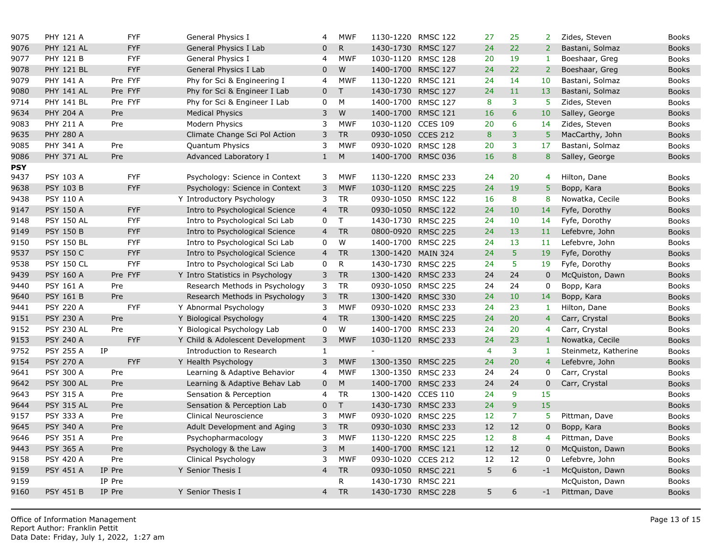| 9075       | <b>PHY 121 A</b>  | <b>FYF</b> | General Physics I                | 4              | <b>MWF</b>   | 1130-1220 RMSC 122 |                 | 27             | 25                      | $\overline{2}$  |
|------------|-------------------|------------|----------------------------------|----------------|--------------|--------------------|-----------------|----------------|-------------------------|-----------------|
| 9076       | <b>PHY 121 AL</b> | <b>FYF</b> | General Physics I Lab            | $\overline{0}$ | R            | 1430-1730 RMSC 127 |                 | 24             | 22                      | $\overline{2}$  |
| 9077       | <b>PHY 121 B</b>  | <b>FYF</b> | General Physics I                | 4              | <b>MWF</b>   | 1030-1120 RMSC 128 |                 | 20             | 19                      | $\mathbf{1}$    |
| 9078       | <b>PHY 121 BL</b> | <b>FYF</b> | General Physics I Lab            | $\mathbf{0}$   | W            | 1400-1700 RMSC 127 |                 | 24             | 22                      | $\overline{2}$  |
| 9079       | <b>PHY 141 A</b>  | Pre FYF    | Phy for Sci & Engineering I      | 4              | <b>MWF</b>   | 1130-1220 RMSC 121 |                 | 24             | 14                      | 10              |
| 9080       | <b>PHY 141 AL</b> | Pre FYF    | Phy for Sci & Engineer I Lab     | $\mathbf 0$    | $\top$       | 1430-1730 RMSC 127 |                 | 24             | 11                      | 13              |
| 9714       | <b>PHY 141 BL</b> | Pre FYF    | Phy for Sci & Engineer I Lab     | $\mathbf 0$    | ${\sf M}$    | 1400-1700 RMSC 127 |                 | 8              | 3                       | 5               |
| 9634       | <b>PHY 204 A</b>  | Pre        | <b>Medical Physics</b>           | 3              | W            | 1400-1700 RMSC 121 |                 | 16             | 6                       | 10              |
| 9083       | <b>PHY 211 A</b>  | Pre        | Modern Physics                   | 3              | <b>MWF</b>   | 1030-1120 CCES 109 |                 | 20             | $\overline{6}$          | 14              |
| 9635       | <b>PHY 280 A</b>  |            | Climate Change Sci Pol Action    | 3              | <b>TR</b>    | 0930-1050 CCES 212 |                 | 8              | 3                       | 5 <sup>5</sup>  |
| 9085       | <b>PHY 341 A</b>  | Pre        | <b>Quantum Physics</b>           | 3              | <b>MWF</b>   | 0930-1020 RMSC 128 |                 | 20             | 3                       | 17 <sup>2</sup> |
| 9086       | <b>PHY 371 AL</b> | Pre        | Advanced Laboratory I            | $\mathbf{1}$   | ${\sf M}$    | 1400-1700 RMSC 036 |                 | 16             | 8                       | 8               |
| <b>PSY</b> |                   |            |                                  |                |              |                    |                 |                |                         |                 |
| 9437       | PSY 103 A         | <b>FYF</b> | Psychology: Science in Context   | 3              | <b>MWF</b>   | 1130-1220 RMSC 233 |                 | 24             | 20                      | $\overline{4}$  |
| 9638       | <b>PSY 103 B</b>  | <b>FYF</b> | Psychology: Science in Context   | $\mathsf{3}$   | <b>MWF</b>   | 1030-1120 RMSC 225 |                 | 24             | 19                      | 5               |
| 9438       | <b>PSY 110 A</b>  |            | Y Introductory Psychology        | 3              | <b>TR</b>    | 0930-1050 RMSC 122 |                 | 16             | 8                       | 8               |
| 9147       | <b>PSY 150 A</b>  | <b>FYF</b> | Intro to Psychological Science   | $\overline{4}$ | <b>TR</b>    | 0930-1050 RMSC 122 |                 | 24             | 10                      | 14              |
| 9148       | <b>PSY 150 AL</b> | <b>FYF</b> | Intro to Psychological Sci Lab   | 0              | $\mathsf T$  | 1430-1730 RMSC 225 |                 | 24             | 10                      | 14              |
| 9149       | <b>PSY 150 B</b>  | <b>FYF</b> | Intro to Psychological Science   | $\overline{4}$ | <b>TR</b>    | 0800-0920 RMSC 225 |                 | 24             | 13                      | 11              |
| 9150       | <b>PSY 150 BL</b> | <b>FYF</b> | Intro to Psychological Sci Lab   | 0              | W            | 1400-1700 RMSC 225 |                 | 24             | 13                      | 11              |
| 9537       | <b>PSY 150 C</b>  | <b>FYF</b> | Intro to Psychological Science   | $\overline{4}$ | <b>TR</b>    | 1300-1420 MAIN 324 |                 | 24             | $\overline{5}$          | 19              |
| 9538       | <b>PSY 150 CL</b> | <b>FYF</b> | Intro to Psychological Sci Lab   | $\mathbf 0$    | $\mathsf{R}$ | 1430-1730 RMSC 225 |                 | 24             | 5 <sup>5</sup>          | 19              |
| 9439       | <b>PSY 160 A</b>  | Pre FYF    | Y Intro Statistics in Psychology | $\mathsf{3}$   | <b>TR</b>    | 1300-1420 RMSC 233 |                 | 24             | 24                      | $\mathbf 0$     |
| 9440       | <b>PSY 161 A</b>  | Pre        | Research Methods in Psychology   | 3              | <b>TR</b>    | 0930-1050 RMSC 225 |                 | 24             | 24                      | $\mathbf 0$     |
| 9640       | <b>PSY 161 B</b>  | Pre        | Research Methods in Psychology   | 3              | <b>TR</b>    | 1300-1420 RMSC 330 |                 | 24             | 10                      | 14              |
| 9441       | <b>PSY 220 A</b>  | <b>FYF</b> | Y Abnormal Psychology            | 3              | <b>MWF</b>   | 0930-1020 RMSC 233 |                 | 24             | 23                      | 1               |
| 9151       | <b>PSY 230 A</b>  | Pre        | Y Biological Psychology          | $\overline{4}$ | <b>TR</b>    | 1300-1420 RMSC 225 |                 | 24             | 20                      | $\overline{4}$  |
| 9152       | <b>PSY 230 AL</b> | Pre        | Y Biological Psychology Lab      | 0              | W            | 1400-1700 RMSC 233 |                 | 24             | 20                      | $\overline{4}$  |
| 9153       | <b>PSY 240 A</b>  | <b>FYF</b> | Y Child & Adolescent Development | 3              | <b>MWF</b>   | 1030-1120 RMSC 233 |                 | 24             | 23                      | $\mathbf{1}$    |
| 9752       | <b>PSY 255 A</b>  | IP         | Introduction to Research         | $\mathbf{1}$   |              | $\equiv$           |                 | $\overline{4}$ | $\overline{\mathbf{3}}$ | $\mathbf{1}$    |
| 9154       | <b>PSY 270 A</b>  | <b>FYF</b> | Y Health Psychology              | 3              | <b>MWF</b>   | 1300-1350 RMSC 225 |                 | 24             | 20                      | $\overline{4}$  |
| 9641       | <b>PSY 300 A</b>  | Pre        | Learning & Adaptive Behavior     | $\overline{4}$ | <b>MWF</b>   | 1300-1350 RMSC 233 |                 | 24             | 24                      | 0               |
| 9642       | <b>PSY 300 AL</b> | Pre        | Learning & Adaptive Behav Lab    | $\mathbf 0$    | ${\sf M}$    | 1400-1700 RMSC 233 |                 | 24             | 24                      | $\mathbf 0$     |
| 9643       | <b>PSY 315 A</b>  | Pre        | Sensation & Perception           | 4              | <b>TR</b>    | 1300-1420 CCES 110 |                 | 24             | 9                       | 15              |
| 9644       | <b>PSY 315 AL</b> | Pre        | Sensation & Perception Lab       | $\pmb{0}$      | $\mathsf T$  | 1430-1730 RMSC 233 |                 | 24             | $\overline{9}$          | 15              |
| 9157       | <b>PSY 333 A</b>  | Pre        | Clinical Neuroscience            | 3              | <b>MWF</b>   | 0930-1020 RMSC 225 |                 | 12             | $\overline{7}$          | 5.              |
| 9645       | <b>PSY 340 A</b>  | Pre        | Adult Development and Aging      | 3              | ${\sf TR}$   | 0930-1030 RMSC 233 |                 | 12             | 12                      | $\mathbf 0$     |
| 9646       | <b>PSY 351 A</b>  | Pre        | Psychopharmacology               | 3              | <b>MWF</b>   | 1130-1220 RMSC 225 |                 | 12             | 8                       | $\overline{4}$  |
| 9443       | <b>PSY 365 A</b>  | Pre        | Psychology & the Law             | 3              | ${\sf M}$    | 1400-1700 RMSC 121 |                 | 12             | 12                      | 0               |
| 9158       | <b>PSY 420 A</b>  | Pre        | Clinical Psychology              | 3              | <b>MWF</b>   | 0930-1020 CCES 212 |                 | 12             | 12                      | $\mathbf 0$     |
| 9159       | <b>PSY 451 A</b>  | IP Pre     | Y Senior Thesis I                | $\overline{4}$ | <b>TR</b>    | 0930-1050 RMSC 221 |                 | 5              | 6                       | $-1$            |
| 9159       |                   | IP Pre     |                                  |                | R            | 1430-1730          | <b>RMSC 221</b> |                |                         |                 |
| 9160       | <b>PSY 451 B</b>  | IP Pre     | Y Senior Thesis I                | $\overline{4}$ | <b>TR</b>    | 1430-1730 RMSC 228 |                 | 5              | 6                       | $-1$            |
|            |                   |            |                                  |                |              |                    |                 |                |                         |                 |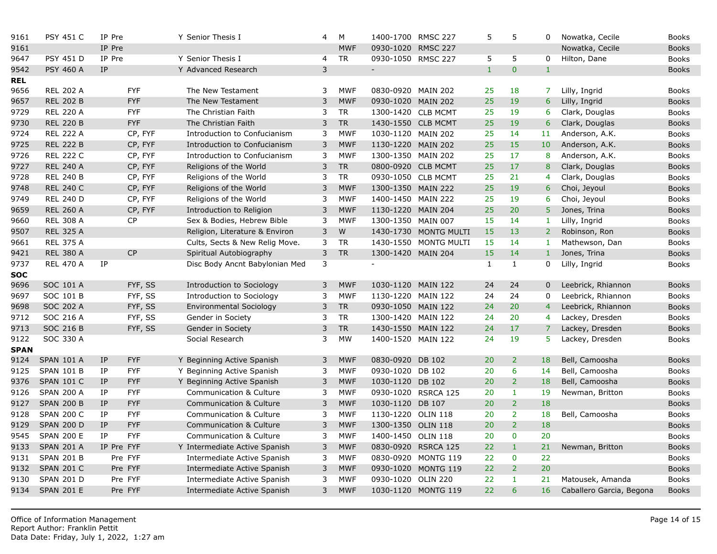| 9161        | <b>PSY 451 C</b>  | IP Pre           | Y Senior Thesis I              | 4            | М          | 1400-1700 RMSC 227       |                       | 5            | 5              | 0              |
|-------------|-------------------|------------------|--------------------------------|--------------|------------|--------------------------|-----------------------|--------------|----------------|----------------|
| 9161        |                   | IP Pre           |                                |              | <b>MWF</b> | 0930-1020 RMSC 227       |                       |              |                |                |
| 9647        | <b>PSY 451 D</b>  | IP Pre           | Y Senior Thesis I              | 4            | <b>TR</b>  | 0930-1050 RMSC 227       |                       | 5            | 5              | $\mathbf{0}$   |
| 9542        | <b>PSY 460 A</b>  | IP               | Y Advanced Research            | $\mathsf 3$  |            | $\overline{\phantom{a}}$ |                       | $\mathbf{1}$ | $\pmb{0}$      | $\mathbf{1}$   |
| <b>REL</b>  |                   |                  |                                |              |            |                          |                       |              |                |                |
| 9656        | <b>REL 202 A</b>  | <b>FYF</b>       | The New Testament              | 3            | <b>MWF</b> | 0830-0920 MAIN 202       |                       | 25           | 18             | $\overline{7}$ |
| 9657        | <b>REL 202 B</b>  | <b>FYF</b>       | The New Testament              | 3            | <b>MWF</b> | 0930-1020 MAIN 202       |                       | 25           | 19             | $6\phantom{1}$ |
| 9729        | <b>REL 220 A</b>  | <b>FYF</b>       | The Christian Faith            | 3            | <b>TR</b>  | 1300-1420 CLB MCMT       |                       | 25           | 19             | 6              |
| 9730        | <b>REL 220 B</b>  | <b>FYF</b>       | The Christian Faith            | 3            | <b>TR</b>  | 1430-1550 CLB MCMT       |                       | 25           | 19             | 6              |
| 9724        | <b>REL 222 A</b>  | CP, FYF          | Introduction to Confucianism   | 3            | <b>MWF</b> | 1030-1120 MAIN 202       |                       | 25           | 14             | 11             |
| 9725        | <b>REL 222 B</b>  | CP, FYF          | Introduction to Confucianism   | 3            | <b>MWF</b> | 1130-1220 MAIN 202       |                       | 25           | 15             | 10             |
| 9726        | <b>REL 222 C</b>  | CP, FYF          | Introduction to Confucianism   | 3            | <b>MWF</b> | 1300-1350 MAIN 202       |                       | 25           | 17             | 8              |
| 9727        | <b>REL 240 A</b>  | CP, FYF          | Religions of the World         | $\mathsf{3}$ | ${\sf TR}$ | 0800-0920 CLB MCMT       |                       | 25           | 17             | 8              |
| 9728        | <b>REL 240 B</b>  | CP, FYF          | Religions of the World         | 3            | <b>TR</b>  | 0930-1050 CLB MCMT       |                       | 25           | 21             | $\overline{4}$ |
| 9748        | <b>REL 240 C</b>  | CP, FYF          | Religions of the World         | 3            | <b>MWF</b> | 1300-1350 MAIN 222       |                       | 25           | 19             | 6              |
| 9749        | <b>REL 240 D</b>  | CP, FYF          | Religions of the World         | 3            | <b>MWF</b> | 1400-1450 MAIN 222       |                       | 25           | 19             | 6              |
| 9659        | <b>REL 260 A</b>  | CP, FYF          | Introduction to Religion       | $\mathsf{3}$ | <b>MWF</b> | 1130-1220 MAIN 204       |                       | 25           | 20             | $\overline{5}$ |
| 9660        | <b>REL 308 A</b>  | <b>CP</b>        | Sex & Bodies, Hebrew Bible     | 3            | <b>MWF</b> | 1300-1350 MAIN 007       |                       | 15           | 14             | $\mathbf{1}$   |
| 9507        | <b>REL 325 A</b>  |                  | Religion, Literature & Environ | 3            | ${\sf W}$  |                          | 1430-1730 MONTG MULTI | 15           | 13             | $\overline{2}$ |
| 9661        | <b>REL 375 A</b>  |                  | Cults, Sects & New Relig Move. | 3            | <b>TR</b>  |                          | 1430-1550 MONTG MULTI | 15           | 14             | 1              |
| 9421        | <b>REL 380 A</b>  | <b>CP</b>        | Spiritual Autobiography        | $\mathsf{3}$ | <b>TR</b>  | 1300-1420 MAIN 204       |                       | 15           | 14             | $\mathbf{1}$   |
| 9737        | <b>REL 470 A</b>  | IP               | Disc Body Ancnt Babylonian Med | 3            |            | $\sim$                   |                       | $\mathbf{1}$ | $\mathbf{1}$   | $\mathbf 0$    |
| <b>SOC</b>  |                   |                  |                                |              |            |                          |                       |              |                |                |
| 9696        | SOC 101 A         | FYF, SS          | Introduction to Sociology      | 3            | <b>MWF</b> | 1030-1120 MAIN 122       |                       | 24           | 24             | $\mathbf{0}$   |
| 9697        | SOC 101 B         | FYF, SS          | Introduction to Sociology      | 3            | <b>MWF</b> | 1130-1220 MAIN 122       |                       | 24           | 24             | 0              |
| 9698        | <b>SOC 202 A</b>  | FYF, SS          | Environmental Sociology        | $\mathsf 3$  | <b>TR</b>  | 0930-1050 MAIN 122       |                       | 24           | 20             | $\overline{4}$ |
| 9712        | SOC 216 A         | FYF, SS          | Gender in Society              | 3            | <b>TR</b>  | 1300-1420 MAIN 122       |                       | 24           | 20             | 4              |
| 9713        | <b>SOC 216 B</b>  | FYF, SS          | Gender in Society              | 3            | <b>TR</b>  | 1430-1550 MAIN 122       |                       | 24           | 17             | $\overline{7}$ |
| 9122        | SOC 330 A         |                  | Social Research                | 3            | <b>MW</b>  | 1400-1520 MAIN 122       |                       | 24           | 19             | 5              |
| <b>SPAN</b> |                   |                  |                                |              |            |                          |                       |              |                |                |
| 9124        | <b>SPAN 101 A</b> | <b>FYF</b><br>IP | Y Beginning Active Spanish     | 3            | <b>MWF</b> | 0830-0920 DB 102         |                       | 20           | $\overline{2}$ | 18             |
| 9125        | <b>SPAN 101 B</b> | IP<br><b>FYF</b> | Y Beginning Active Spanish     | 3            | <b>MWF</b> | 0930-1020 DB 102         |                       | 20           | 6              | 14             |
| 9376        | <b>SPAN 101 C</b> | IP<br><b>FYF</b> | Y Beginning Active Spanish     | 3            | <b>MWF</b> | 1030-1120 DB 102         |                       | 20           | $\overline{2}$ | 18             |
| 9126        | <b>SPAN 200 A</b> | <b>FYF</b><br>IP | Communication & Culture        | 3            | <b>MWF</b> |                          | 0930-1020 RSRCA 125   | 20           | $\mathbf{1}$   | 19             |
| 9127        | <b>SPAN 200 B</b> | <b>FYF</b><br>IP | Communication & Culture        | $\mathsf{3}$ | <b>MWF</b> | 1030-1120 DB 107         |                       | 20           | $\overline{2}$ | 18             |
| 9128        | <b>SPAN 200 C</b> | <b>FYF</b><br>IP | Communication & Culture        | 3            | <b>MWF</b> | 1130-1220 OLIN 118       |                       | 20           | $\overline{2}$ | 18             |
| 9129        | <b>SPAN 200 D</b> | <b>FYF</b><br>IP | Communication & Culture        | 3            | <b>MWF</b> | 1300-1350 OLIN 118       |                       | 20           | $\overline{2}$ | 18             |
| 9545        | <b>SPAN 200 E</b> | <b>FYF</b><br>IP | Communication & Culture        | 3            | <b>MWF</b> | 1400-1450 OLIN 118       |                       | 20           | $\mathbf{0}$   | 20             |
| 9133        | <b>SPAN 201 A</b> | IP Pre FYF       | Y Intermediate Active Spanish  | 3            | <b>MWF</b> |                          | 0830-0920 RSRCA 125   | 22           | $\mathbf{1}$   | 21             |
| 9131        | <b>SPAN 201 B</b> | Pre FYF          | Intermediate Active Spanish    | 3            | <b>MWF</b> |                          | 0830-0920 MONTG 119   | 22           | $\mathbf 0$    | 22             |
| 9132        | <b>SPAN 201 C</b> | Pre FYF          | Intermediate Active Spanish    | 3            | <b>MWF</b> |                          | 0930-1020 MONTG 119   | 22           | $\overline{2}$ | 20             |
| 9130        | <b>SPAN 201 D</b> | Pre FYF          | Intermediate Active Spanish    | 3            | <b>MWF</b> | 0930-1020 OLIN 220       |                       | 22           | 1              | 21             |
| 9134        | <b>SPAN 201 E</b> | Pre FYF          | Intermediate Active Spanish    | 3            | <b>MWF</b> |                          | 1030-1120 MONTG 119   | 22           | 6              | 16             |
|             |                   |                  |                                |              |            |                          |                       |              |                |                |